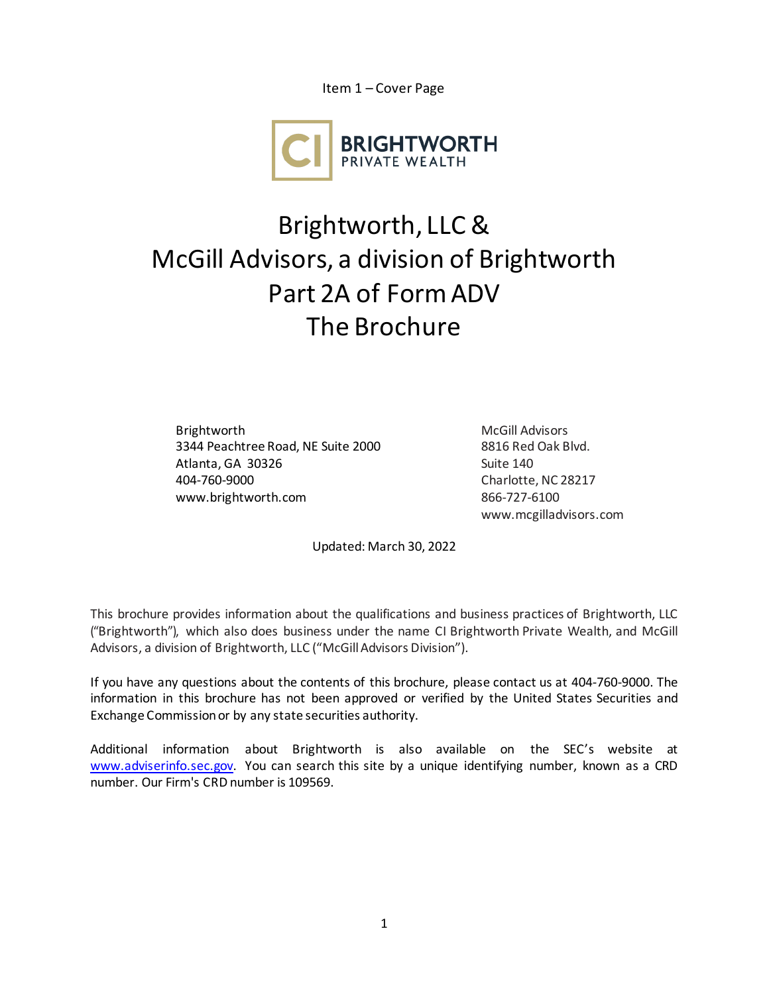Item 1 – Cover Page



## Brightworth, LLC & McGill Advisors, a division of Brightworth Part 2A of Form ADV The Brochure

Brightworth 3344 Peachtree Road, NE Suite 2000 Atlanta, GA 30326 404-760-9000 [www.brightworth.com](http://www.brightworth.com/)

McGill Advisors 8816 Red Oak Blvd. Suite 140 Charlotte, NC 28217 866-727-6100 www.mc[gilladvisors.com](http://www.sconsulting.net/)

Updated: March 30, 2022

This brochure provides information about the qualifications and business practices of Brightworth, LLC ("Brightworth"), which also does business under the name CI Brightworth Private Wealth, and McGill Advisors, a division of Brightworth, LLC ("McGill Advisors Division").

If you have any questions about the contents of this brochure, please contact us at 404-760-9000. The information in this brochure has not been approved or verified by the United States Securities and Exchange Commission or by any state securities authority.

Additional information about Brightworth is also available on the SEC's website at [www.adviserinfo.sec.gov.](http://www.adviserinfo.sec.gov/) You can search this site by a unique identifying number, known as a CRD number. Our Firm's CRD number is 109569.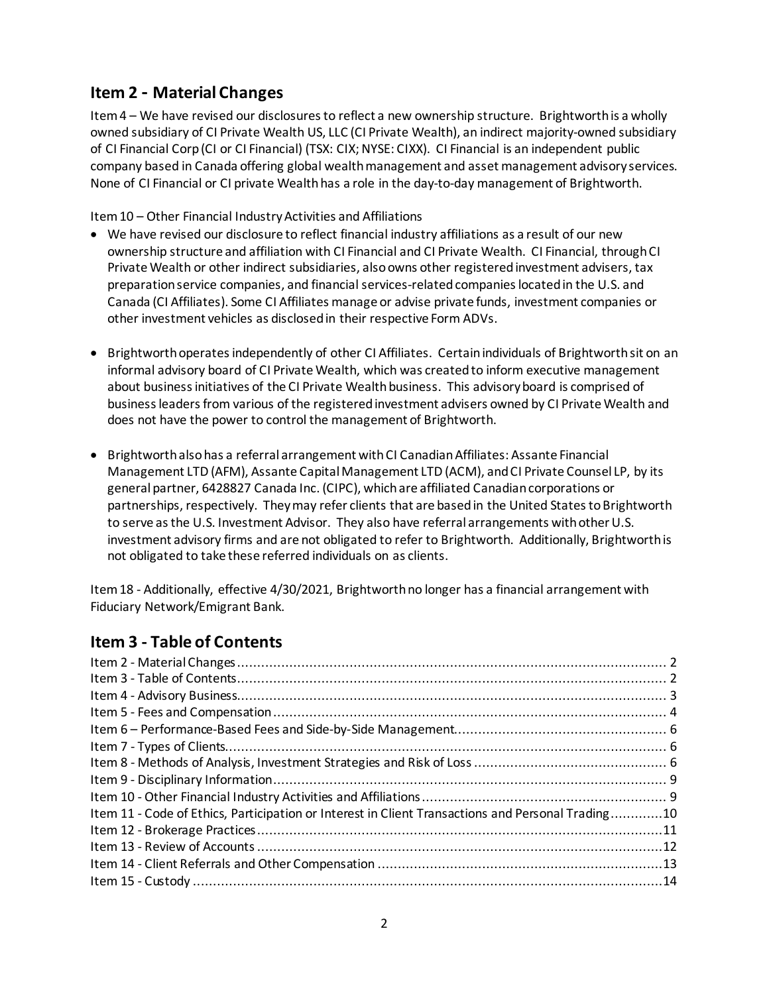### <span id="page-1-0"></span>**Item 2 - Material Changes**

Item 4 – We have revised our disclosures to reflect a new ownership structure. Brightworth is a wholly owned subsidiary of CI Private Wealth US, LLC (CI Private Wealth), an indirect majority-owned subsidiary of CI Financial Corp (CI or CI Financial) (TSX: CIX; NYSE: CIXX). CI Financial is an independent public company based in Canada offering global wealth management and asset management advisory services. None of CI Financial or CI private Wealth has a role in the day-to-day management of Brightworth.

Item 10 – Other Financial Industry Activities and Affiliations

- We have revised our disclosure to reflect financial industry affiliations as a result of our new ownership structure and affiliation with CI Financial and CI Private Wealth. CI Financial, through CI Private Wealth or other indirect subsidiaries, also owns other registered investment advisers, tax preparationservice companies, and financial services-related companies located in the U.S. and Canada (CI Affiliates). Some CI Affiliates manage or advise private funds, investment companies or other investment vehicles as disclosedin their respective Form ADVs.
- Brightworth operates independently of other CI Affiliates. Certain individuals of Brightworth sit on an informal advisory board of CI Private Wealth, which was created to inform executive management about business initiatives of the CI Private Wealth business. This advisory board is comprised of business leaders from various of the registered investment advisers owned by CI Private Wealth and does not have the power to control the management of Brightworth.
- Brightworth also has a referral arrangement withCI Canadian Affiliates: Assante Financial Management LTD (AFM), Assante Capital Management LTD (ACM), and CI Private Counsel LP, by its general partner, 6428827 Canada Inc. (CIPC), which are affiliated Canadian corporations or partnerships, respectively. They may refer clients that are based in the United States to Brightworth to serve as the U.S. Investment Advisor. They also have referral arrangements with other U.S. investment advisory firms and are not obligated to refer to Brightworth. Additionally, Brightworth is not obligated to take these referred individuals on as clients.

Item 18 - Additionally, effective 4/30/2021, Brightworth no longer has a financial arrangement with Fiduciary Network/Emigrant Bank.

### <span id="page-1-1"></span>**Item 3 - Table of Contents**

| Item 11 - Code of Ethics, Participation or Interest in Client Transactions and Personal Trading10 |  |
|---------------------------------------------------------------------------------------------------|--|
|                                                                                                   |  |
|                                                                                                   |  |
|                                                                                                   |  |
|                                                                                                   |  |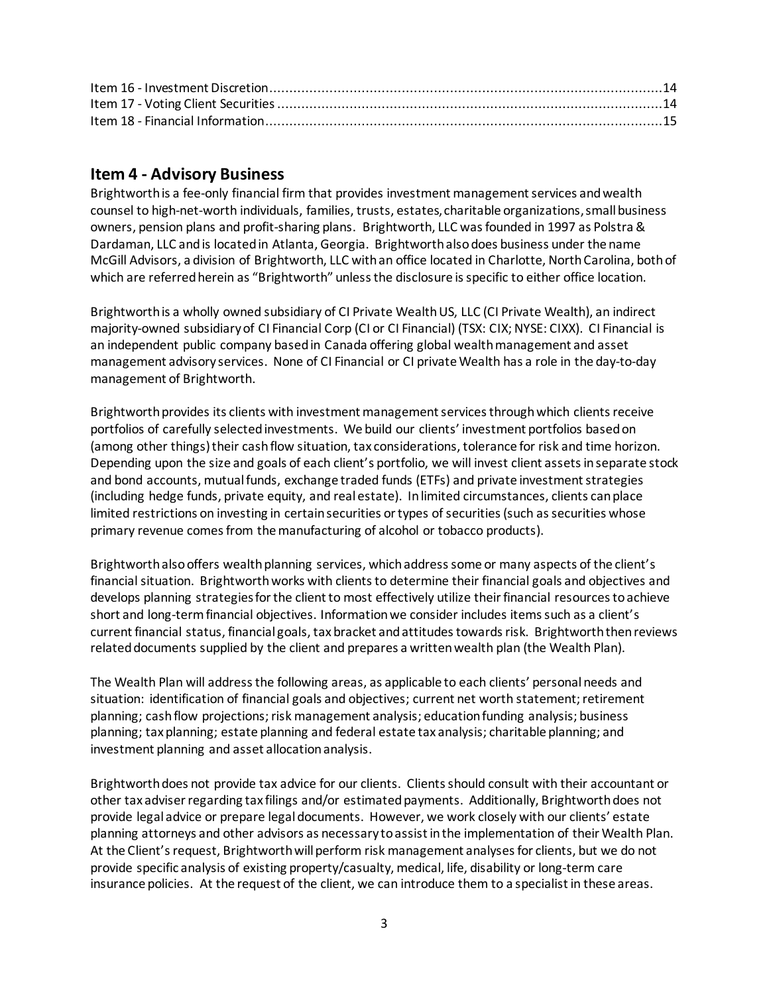### <span id="page-2-0"></span>**Item 4 - Advisory Business**

Brightworth is a fee-only financial firm that provides investment management services and wealth counsel to high-net-worth individuals, families, trusts, estates, charitable organizations, small business owners, pension plans and profit-sharing plans. Brightworth, LLC was founded in 1997 as Polstra & Dardaman, LLC and is located in Atlanta, Georgia. Brightworth also does business under the name McGill Advisors, a division of Brightworth, LLC with an office located in Charlotte, NorthCarolina, both of which are referred herein as "Brightworth" unless the disclosure is specific to either office location.

Brightworth is a wholly owned subsidiary of CI Private Wealth US, LLC (CI Private Wealth), an indirect majority-owned subsidiary of CI Financial Corp (CI or CI Financial) (TSX: CIX; NYSE: CIXX). CI Financial is an independent public company based in Canada offering global wealth management and asset management advisory services. None of CI Financial or CI private Wealth has a role in the day-to-day management of Brightworth.

Brightworth provides its clients with investment management services through which clients receive portfolios of carefully selected investments. We build our clients' investment portfolios based on (among other things) their cash flow situation, tax considerations, tolerance for risk and time horizon. Depending upon the size and goals of each client's portfolio, we will invest client assets in separate stock and bond accounts, mutual funds, exchange traded funds (ETFs) and private investment strategies (including hedge funds, private equity, and real estate). In limited circumstances, clients can place limited restrictions on investing in certain securities or types of securities (such as securities whose primary revenue comes from the manufacturing of alcohol or tobacco products).

Brightworth also offers wealth planning services, which address some or many aspects of the client's financial situation. Brightworth works with clients to determine their financial goals and objectives and develops planning strategies for the client to most effectively utilize their financial resources to achieve short and long-term financial objectives. Information we consider includes items such as a client's current financial status, financial goals, tax bracket and attitudes towards risk. Brightworth then reviews related documents supplied by the client and prepares a written wealth plan (the Wealth Plan).

The Wealth Plan will address the following areas, as applicable to each clients' personal needs and situation: identification of financial goals and objectives; current net worth statement; retirement planning; cash flow projections; risk management analysis; education funding analysis; business planning; tax planning; estate planning and federal estate tax analysis; charitable planning; and investment planning and asset allocation analysis.

Brightworth does not provide tax advice for our clients. Clients should consult with their accountant or other tax adviser regarding tax filings and/or estimated payments. Additionally, Brightworth does not provide legal advice or prepare legal documents. However, we work closely with our clients' estate planning attorneys and other advisors as necessary to assist in the implementation of their Wealth Plan. At the Client's request, Brightworth will perform risk management analyses for clients, but we do not provide specific analysis of existing property/casualty, medical, life, disability or long-term care insurance policies. At the request of the client, we can introduce them to a specialist in these areas.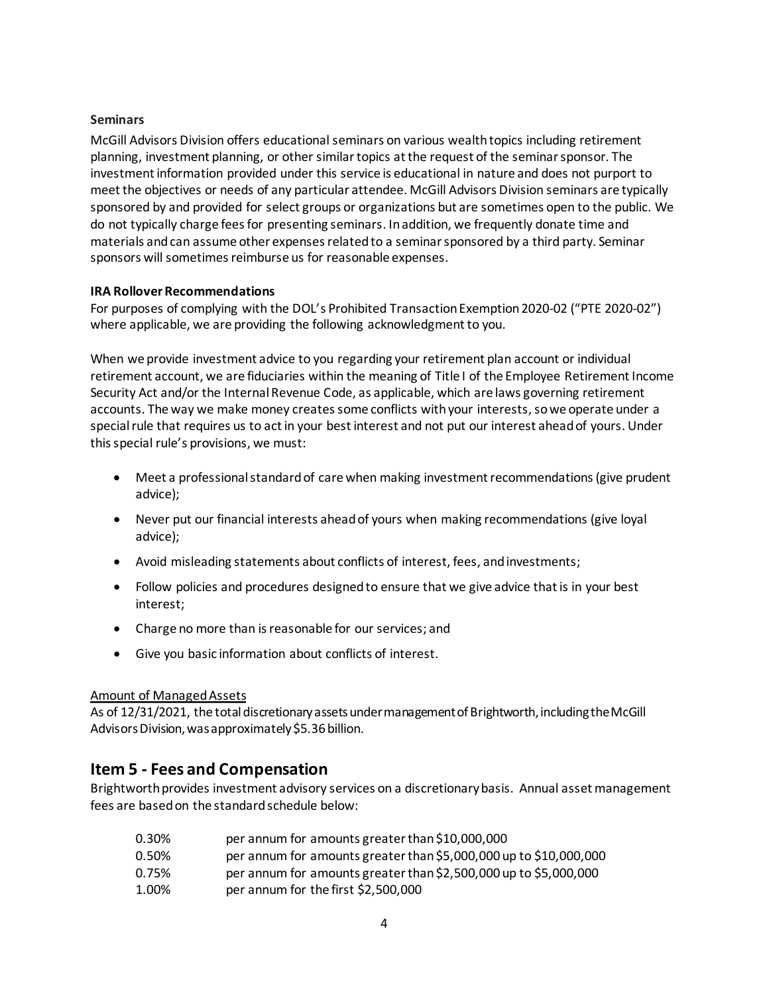#### **Seminars**

McGill Advisors Division offers educational seminars on various wealth topics including retirement planning, investment planning, or other similar topics at the request of the seminar sponsor. The investment information provided under this service is educational in nature and does not purport to meet the objectives or needs of any particular attendee. McGill Advisors Division seminars are typically sponsored by and provided for select groups or organizations but are sometimes open to the public. We do not typically charge fees for presenting seminars. In addition, we frequently donate time and materials and can assume other expenses related to a seminar sponsored by a third party. Seminar sponsors will sometimes reimburse us for reasonable expenses.

#### **IRA Rollover Recommendations**

For purposes of complying with the DOL's Prohibited Transaction Exemption 2020-02 ("PTE 2020-02") where applicable, we are providing the following acknowledgment to you.

When we provide investment advice to you regarding your retirement plan account or individual retirement account, we are fiduciaries within the meaning of Title I of the Employee Retirement Income Security Act and/or the Internal Revenue Code, as applicable, which are laws governing retirement accounts. The way we make money creates some conflicts with your interests, so we operate under a special rule that requires us to act in your best interest and not put our interest ahead of yours. Under this special rule's provisions, we must:

- Meet a professional standard of care when making investment recommendations (give prudent advice);
- Never put our financial interests ahead of yours when making recommendations (give loyal advice);
- Avoid misleading statements about conflicts of interest, fees, and investments;
- Follow policies and procedures designed to ensure that we give advice that is in your best interest;
- Charge no more than is reasonable for our services; and
- Give you basic information about conflicts of interest.

#### Amount of ManagedAssets

As of 12/31/2021, the total discretionary assets under management of Brightworth, including the McGill Advisors Division, was approximately\$5.36 billion.

### <span id="page-3-0"></span>**Item 5 - Fees and Compensation**

Brightworth provides investment advisory services on a discretionary basis. Annual asset management fees are based on the standard schedule below:

0.30% per annum for amounts greater than \$10,000,000 0.50% per annum for amounts greater than \$5,000,000 up to \$10,000,000 0.75% per annum for amounts greater than \$2,500,000 up to \$5,000,000 1.00% per annum for the first \$2,500,000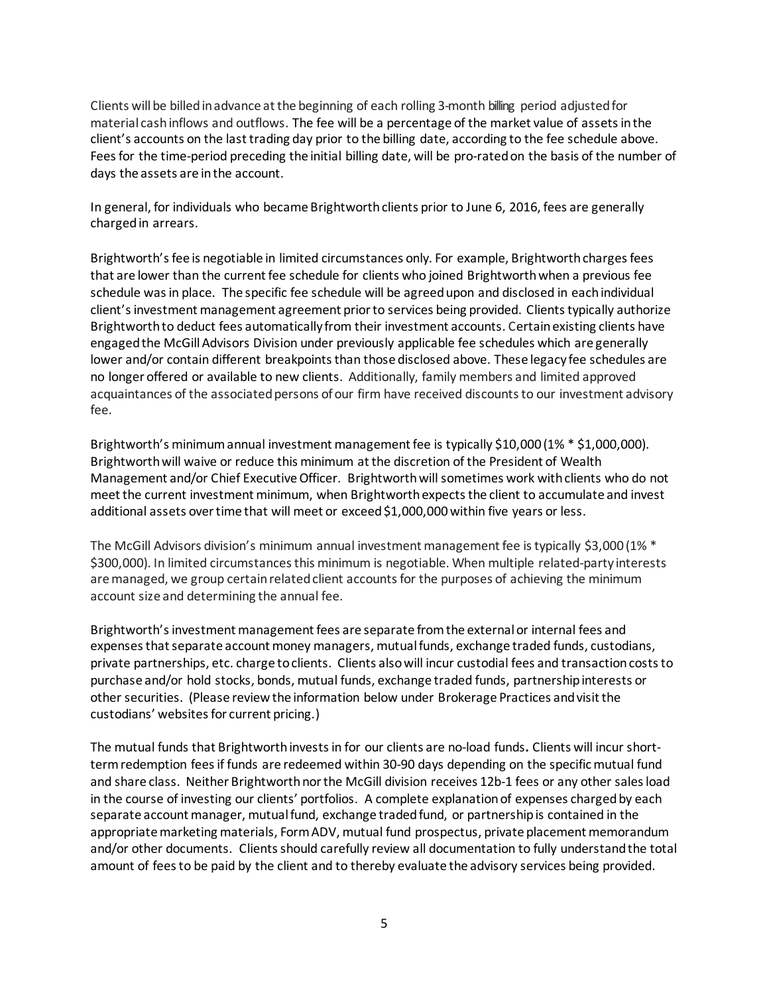Clients willbe billedin advance atthe beginning of each rolling 3-month billing period adjusted for material cash inflows and outflows. The fee will be a percentage of the market value of assets in the client's accounts on the last trading day prior to the billing date, according to the fee schedule above. Fees for the time-period preceding the initial billing date, will be pro-rated on the basis of the number of days the assets are in the account.

In general, for individuals who became Brightworth clients prior to June 6, 2016, fees are generally charged in arrears.

Brightworth's fee is negotiable in limited circumstances only. For example, Brightworth charges fees that are lower than the current fee schedule for clients who joined Brightworth when a previous fee schedule was in place. The specific fee schedule will be agreed upon and disclosed in eachindividual client's investment management agreement prior to services being provided. Clients typically authorize Brightworth to deduct fees automatically from their investment accounts. Certain existing clients have engaged the McGill Advisors Division under previously applicable fee schedules which are generally lower and/or contain different breakpoints than those disclosed above. These legacy fee schedules are no longer offered or available to new clients. Additionally, family members and limited approved acquaintances of the associated persons of our firm have received discounts to our investment advisory fee.

Brightworth's minimum annual investment management fee is typically \$10,000 (1% \* \$1,000,000). Brightworth will waive or reduce this minimum at the discretion of the President of Wealth Management and/or Chief Executive Officer. Brightworth will sometimes work with clients who do not meet the current investment minimum, when Brightworth expects the client to accumulate and invest additional assets over time that will meet or exceed \$1,000,000 within five years or less.

The McGill Advisors division's minimum annual investment management fee is typically \$3,000 (1% \* \$300,000). In limited circumstances this minimum is negotiable. When multiple related-party interests are managed, we group certain related client accounts for the purposes of achieving the minimum account size and determining the annual fee.

Brightworth's investment management fees are separate from the external or internal fees and expenses that separate account money managers, mutual funds, exchange traded funds, custodians, private partnerships, etc. charge to clients. Clients also will incur custodial fees and transaction costs to purchase and/or hold stocks, bonds, mutual funds, exchange traded funds, partnership interests or other securities. (Please review the information below under Brokerage Practices and visit the custodians' websites for current pricing.)

The mutual funds that Brightworth invests in for our clients are no-load funds**.** Clients will incur shortterm redemption fees if funds are redeemed within 30-90 days depending on the specificmutual fund and share class. Neither Brightworth nor the McGill division receives 12b-1 fees or any other sales load in the course of investing our clients' portfolios. A complete explanation of expenses charged by each separate account manager, mutual fund, exchange traded fund, or partnership is contained in the appropriate marketing materials, Form ADV, mutual fund prospectus, private placement memorandum and/or other documents. Clients should carefully review all documentation to fully understand the total amount of fees to be paid by the client and to thereby evaluate the advisory services being provided.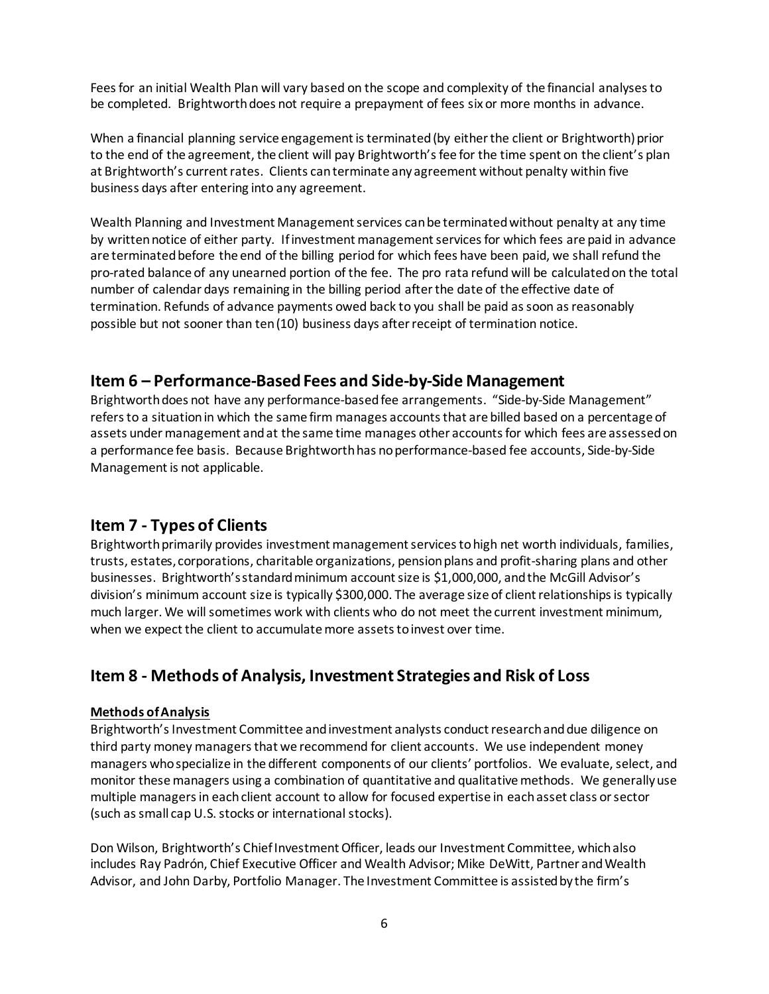Fees for an initial Wealth Plan will vary based on the scope and complexity of the financial analyses to be completed. Brightworth does not require a prepayment of fees six or more months in advance.

When a financial planning service engagement is terminated (by either the client or Brightworth) prior to the end of the agreement, the client will pay Brightworth's fee for the time spent on the client's plan at Brightworth's current rates. Clients canterminate any agreement without penalty within five business days after entering into any agreement.

Wealth Planning and Investment Management services can be terminated without penalty at any time by written notice of either party. If investment management services for which fees are paid in advance are terminated before the end of the billing period for which fees have been paid, we shall refund the pro-rated balance of any unearned portion of the fee. The pro rata refund will be calculated on the total number of calendar days remaining in the billing period after the date of the effective date of termination. Refunds of advance payments owed back to you shall be paid as soon as reasonably possible but not sooner than ten (10) business days after receipt of termination notice.

### <span id="page-5-0"></span>**Item 6 – Performance-Based Fees and Side-by-Side Management**

Brightworth does not have any performance-based fee arrangements. "Side-by-Side Management" refers to a situation in which the same firm manages accounts that are billed based on a percentage of assets under management and at the same time manages other accounts for which fees are assessed on a performance fee basis. Because Brightworth has no performance-based fee accounts, Side-by-Side Management is not applicable.

### <span id="page-5-1"></span>**Item 7 - Types of Clients**

Brightworth primarily provides investment management services to high net worth individuals, families, trusts, estates, corporations, charitable organizations, pension plans and profit-sharing plans and other businesses. Brightworth's standard minimum account size is \$1,000,000, and the McGill Advisor's division's minimum account size is typically \$300,000. The average size of client relationships is typically much larger. We will sometimes work with clients who do not meet the current investment minimum, when we expect the client to accumulate more assets to invest over time.

### <span id="page-5-2"></span>**Item 8 - Methods of Analysis, Investment Strategies and Risk of Loss**

#### **Methods of Analysis**

Brightworth's Investment Committee and investment analysts conduct research and due diligence on third party money managers that we recommend for client accounts. We use independent money managers who specialize in the different components of our clients' portfolios. We evaluate, select, and monitor these managers using a combination of quantitative and qualitative methods. We generally use multiple managers in each client account to allow for focused expertise in each asset class or sector (such as small cap U.S. stocks or international stocks).

Don Wilson, Brightworth's Chief Investment Officer, leads our Investment Committee, which also includes Ray Padrón, Chief Executive Officer and Wealth Advisor; Mike DeWitt, Partner and Wealth Advisor, and John Darby, Portfolio Manager. The Investment Committee is assisted by the firm's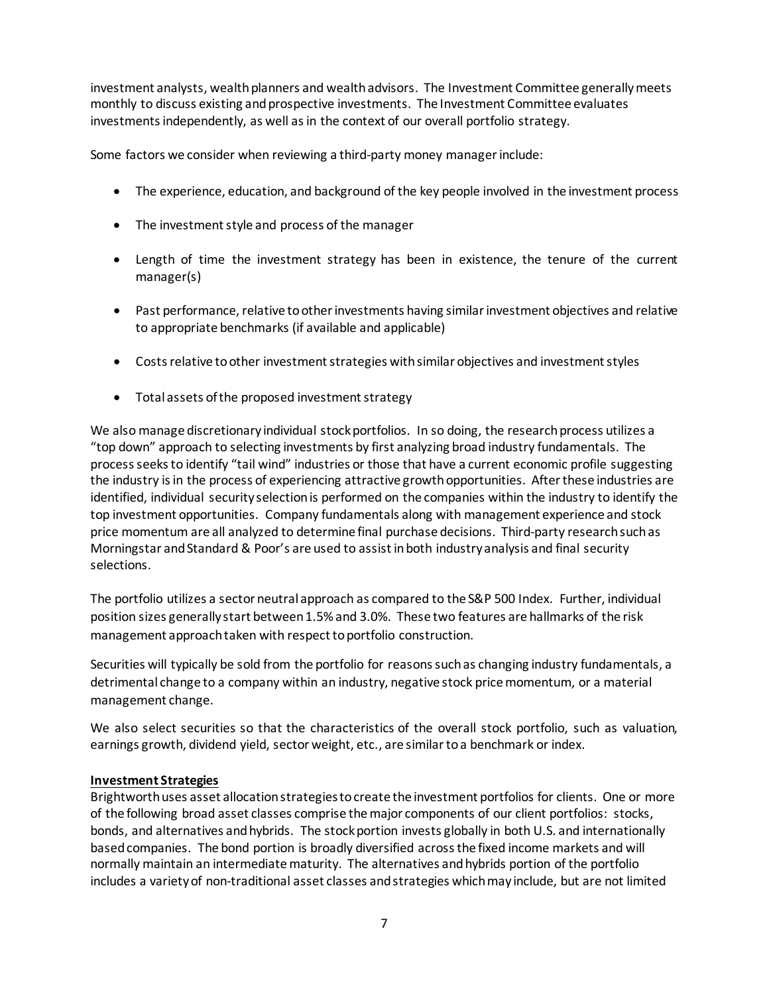investment analysts, wealth planners and wealth advisors. The Investment Committee generally meets monthly to discuss existing and prospective investments. The Investment Committee evaluates investments independently, as well as in the context of our overall portfolio strategy.

Some factors we consider when reviewing a third-party money manager include:

- The experience, education, and background of the key people involved in the investment process
- The investment style and process of the manager
- Length of time the investment strategy has been in existence, the tenure of the current manager(s)
- Past performance, relative to other investments having similar investment objectives and relative to appropriate benchmarks (if available and applicable)
- Costs relative to other investment strategies with similar objectives and investment styles
- Total assets of the proposed investment strategy

We also manage discretionary individual stock portfolios. In so doing, the research process utilizes a "top down" approach to selecting investments by first analyzing broad industry fundamentals. The process seeks to identify "tail wind" industries or those that have a current economic profile suggesting the industry is in the process of experiencing attractive growth opportunities. After these industries are identified, individual security selection is performed on the companies within the industry to identify the top investment opportunities. Company fundamentals along with management experience and stock price momentum are all analyzed to determine final purchase decisions. Third-party research such as Morningstar and Standard & Poor's are used to assist in both industry analysis and final security selections.

The portfolio utilizes a sector neutral approach as compared to the S&P 500 Index. Further, individual position sizes generally start between 1.5% and 3.0%. These two features are hallmarks of the risk management approach taken with respect to portfolio construction.

Securities will typically be sold from the portfolio for reasons such as changing industry fundamentals, a detrimental change to a company within an industry, negative stock price momentum, or a material management change.

We also select securities so that the characteristics of the overall stock portfolio, such as valuation, earnings growth, dividend yield, sector weight, etc., are similar to a benchmark or index.

#### **Investment Strategies**

Brightworth uses asset allocation strategies to create the investment portfolios for clients. One or more of the following broad asset classes comprise the major components of our client portfolios: stocks, bonds, and alternatives andhybrids. The stockportion invests globally in both U.S. and internationally based companies. The bond portion is broadly diversified across the fixed income markets and will normally maintain an intermediate maturity. The alternatives and hybrids portion of the portfolio includes a variety of non-traditional asset classes and strategies which may include, but are not limited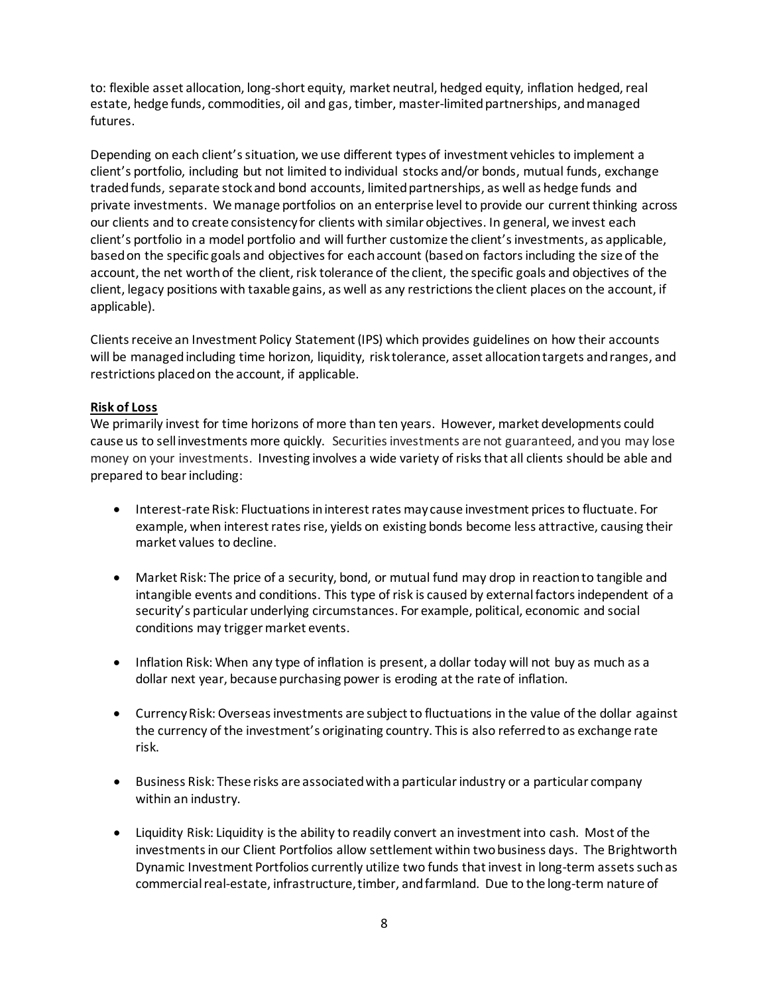to: flexible asset allocation, long-short equity, market neutral, hedged equity, inflation hedged, real estate, hedge funds, commodities, oil and gas, timber, master-limited partnerships, and managed futures.

Depending on each client's situation, we use different types of investment vehicles to implement a client's portfolio, including but not limited to individual stocks and/or bonds, mutual funds, exchange traded funds, separate stock and bond accounts, limited partnerships, as well as hedge funds and private investments. We manage portfolios on an enterprise level to provide our current thinking across our clients and to create consistency for clients with similar objectives. In general, we invest each client's portfolio in a model portfolio and will further customize the client's investments, as applicable, based on the specific goals and objectives for each account (based on factors including the size of the account, the net worth of the client, risk tolerance of the client, the specific goals and objectives of the client, legacy positions with taxable gains, as well as any restrictions the client places on the account, if applicable).

Clients receive an Investment Policy Statement (IPS) which provides guidelines on how their accounts will be managed including time horizon, liquidity, risk tolerance, asset allocation targets and ranges, and restrictions placed on the account, if applicable.

#### **Risk of Loss**

We primarily invest for time horizons of more than ten years. However, market developments could cause us to sell investments more quickly. Securities investments are not guaranteed, and you may lose money on your investments. Investing involves a wide variety of risks that all clients should be able and prepared to bear including:

- Interest-rate Risk: Fluctuations in interest rates may cause investment prices to fluctuate. For example, when interest rates rise, yields on existing bonds become less attractive, causing their market values to decline.
- Market Risk: The price of a security, bond, or mutual fund may drop in reaction to tangible and intangible events and conditions. This type of risk is caused by external factors independent of a security's particular underlying circumstances. For example, political, economic and social conditions may trigger market events.
- Inflation Risk: When any type of inflation is present, a dollar today will not buy as much as a dollar next year, because purchasing power is eroding at the rate of inflation.
- Currency Risk: Overseas investments are subject to fluctuations in the value of the dollar against the currency of the investment's originating country. This is also referred to as exchange rate risk.
- Business Risk: These risks are associated with a particular industry or a particular company within an industry.
- Liquidity Risk: Liquidity is the ability to readily convert an investment into cash. Most of the investments in our Client Portfolios allow settlement within two business days. The Brightworth Dynamic Investment Portfolios currently utilize two funds that invest in long-term assets such as commercial real-estate, infrastructure, timber, and farmland. Due to the long-term nature of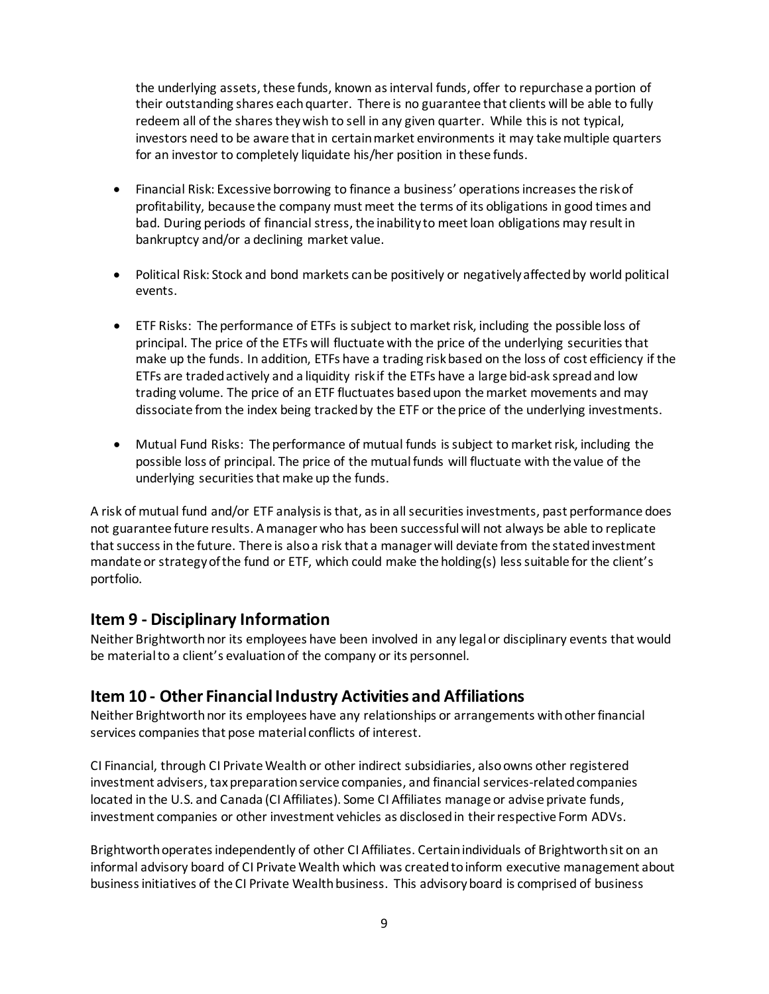the underlying assets, these funds, known as interval funds, offer to repurchase a portion of their outstanding shares each quarter. There is no guarantee that clients will be able to fully redeem all of the shares they wish to sell in any given quarter. While this is not typical, investors need to be aware that in certain market environments it may take multiple quarters for an investor to completely liquidate his/her position in these funds.

- Financial Risk: Excessive borrowing to finance a business' operations increases the risk of profitability, because the company must meet the terms of its obligations in good times and bad. During periods of financial stress, the inability to meet loan obligations may result in bankruptcy and/or a declining market value.
- Political Risk: Stock and bond markets can be positively or negatively affected by world political events.
- ETF Risks: The performance of ETFs is subject to market risk, including the possible loss of principal. The price of the ETFs will fluctuate with the price of the underlying securities that make up the funds. In addition, ETFs have a trading risk based on the loss of cost efficiency if the ETFs are traded actively and a liquidity risk if the ETFs have a large bid-ask spread and low trading volume. The price of an ETF fluctuates based upon the market movements and may dissociate from the index being tracked by the ETF or the price of the underlying investments.
- Mutual Fund Risks: The performance of mutual funds is subject to market risk, including the possible loss of principal. The price of the mutual funds will fluctuate with the value of the underlying securities that make up the funds.

A risk of mutual fund and/or ETF analysis is that, as in all securities investments, past performance does not guarantee future results. A manager who has been successful will not always be able to replicate that success in the future. There is also a risk that a manager will deviate from the stated investment mandate or strategy of the fund or ETF, which could make the holding(s) less suitable for the client's portfolio.

### <span id="page-8-0"></span>**Item 9 - Disciplinary Information**

Neither Brightworth nor its employees have been involved in any legal or disciplinary events that would be material to a client's evaluation of the company or its personnel.

### <span id="page-8-1"></span>**Item 10 - Other Financial Industry Activities and Affiliations**

Neither Brightworth nor its employees have any relationships or arrangements with other financial services companies that pose material conflicts of interest.

CI Financial, through CI Private Wealth or other indirect subsidiaries, also owns other registered investment advisers, tax preparation service companies, and financial services-related companies located in the U.S. and Canada (CI Affiliates). Some CI Affiliates manage or advise private funds, investment companies or other investment vehicles as disclosed in their respective Form ADVs.

Brightworth operates independently of other CI Affiliates. Certain individuals of Brightworth sit on an informal advisory board of CI Private Wealth which was created to inform executive management about business initiatives of the CI Private Wealth business. This advisory board is comprised of business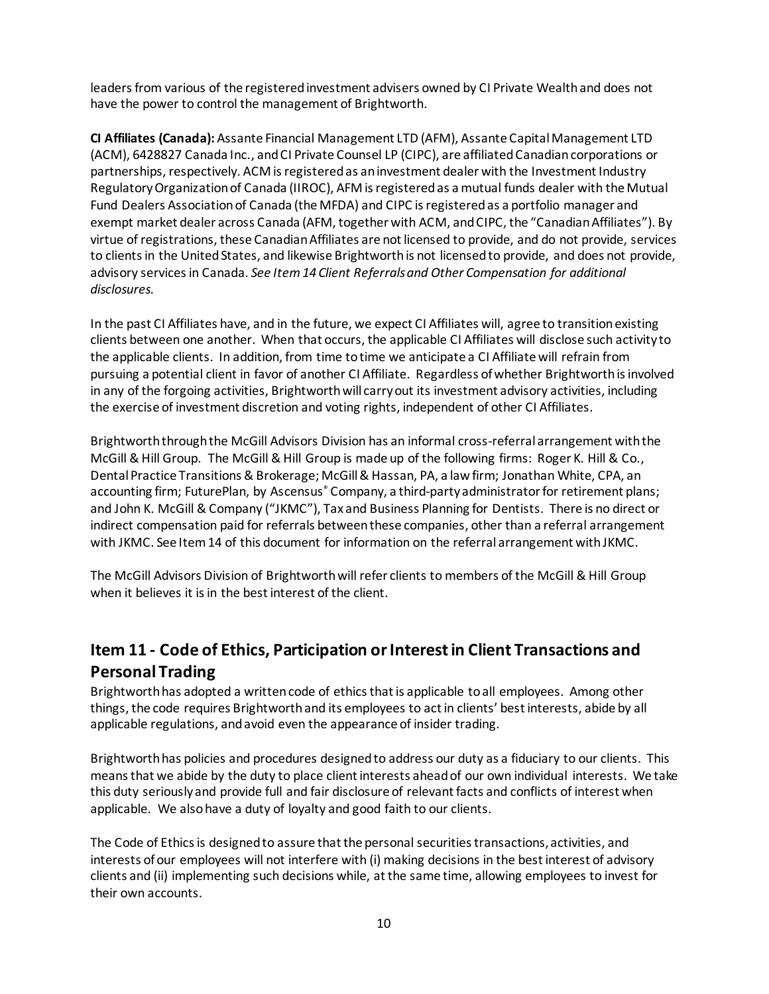leaders from various of the registered investment advisers owned by CI Private Wealth and does not have the power to control the management of Brightworth.

**CI Affiliates (Canada):** Assante Financial Management LTD (AFM), Assante Capital Management LTD (ACM), 6428827 Canada Inc., and CI Private Counsel LP (CIPC), are affiliated Canadian corporations or partnerships, respectively. ACM is registered as an investment dealer with the Investment Industry Regulatory Organization of Canada (IIROC), AFM is registered as a mutual funds dealer with the Mutual Fund Dealers Association of Canada (the MFDA) and CIPC is registered as a portfolio manager and exempt market dealer across Canada (AFM, together with ACM, and CIPC, the "Canadian Affiliates"). By virtue of registrations, these Canadian Affiliates are not licensed to provide, and do not provide, services to clients in the United States, and likewise Brightworthis not licensed to provide, and does not provide, advisory services in Canada. *See Item 14 Client Referrals and Other Compensation for additional disclosures.*

In the past CI Affiliates have, and in the future, we expect CI Affiliates will, agree to transition existing clients between one another. When that occurs, the applicable CI Affiliates will disclose such activity to the applicable clients. In addition, from time to time we anticipate a CI Affiliate will refrain from pursuing a potential client in favor of another CI Affiliate. Regardless of whether Brightworth is involved in any of the forgoing activities, Brightworth will carry out its investment advisory activities, including the exercise of investment discretion and voting rights, independent of other CI Affiliates.

Brightworth through the McGill Advisors Division has an informal cross-referral arrangement with the McGill & Hill Group. The McGill & Hill Group is made up of the following firms: Roger K. Hill & Co., Dental Practice Transitions & Brokerage; McGill & Hassan, PA, a law firm; Jonathan White, CPA, an accounting firm; FuturePlan, by Ascensus® Company, a third-party administrator for retirement plans; and John K. McGill & Company ("JKMC"), Tax and Business Planning for Dentists. There is no direct or indirect compensation paid for referrals between these companies, other than a referral arrangement with JKMC. See Item 14 of this document for information on the referral arrangement with JKMC.

The McGill Advisors Division of Brightworthwill refer clients to members of the McGill & Hill Group when it believes it is in the best interest of the client.

## <span id="page-9-0"></span>**Item 11 - Code of Ethics, Participation or Interest in Client Transactions and Personal Trading**

Brightworth has adopted a written code of ethics that is applicable to all employees. Among other things, the code requires Brightworth and its employees to act in clients' best interests, abide by all applicable regulations, and avoid even the appearance of insider trading.

Brightworth has policies and procedures designed to address our duty as a fiduciary to our clients. This means that we abide by the duty to place client interests ahead of our own individual interests. We take this duty seriously and provide full and fair disclosure of relevant facts and conflicts of interest when applicable. We also have a duty of loyalty and good faith to our clients.

The Code of Ethics is designed to assure that the personal securities transactions, activities, and interests of our employees will not interfere with (i) making decisions in the best interest of advisory clients and (ii) implementing such decisions while, at the same time, allowing employees to invest for their own accounts.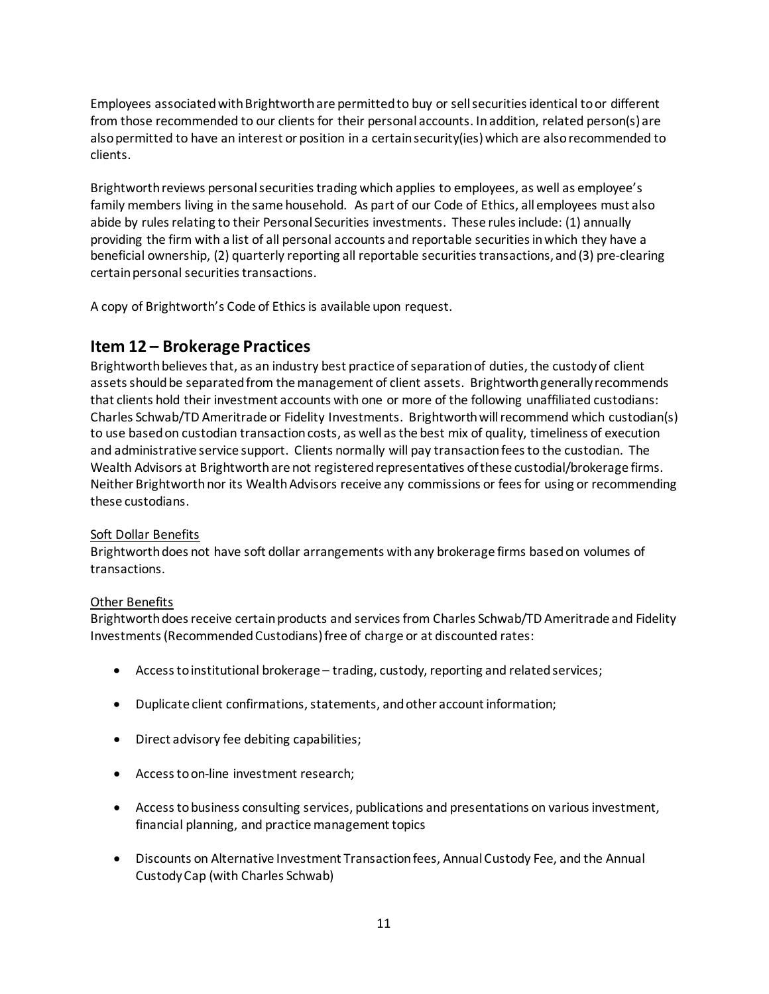Employees associated with Brightworth are permitted to buy or sell securities identical to or different from those recommended to our clients for their personal accounts. In addition, related person(s) are also permitted to have an interest or position in a certain security(ies) which are also recommended to clients.

Brightworth reviews personal securities trading which applies to employees, as well as employee's family members living in the same household. As part of our Code of Ethics, all employees must also abide by rules relating to their Personal Securities investments. These rules include: (1) annually providing the firm with a list of all personal accounts and reportable securities in which they have a beneficial ownership, (2) quarterly reporting all reportable securities transactions, and (3) pre-clearing certain personal securities transactions.

<span id="page-10-0"></span>A copy of Brightworth's Code of Ethics is available upon request.

### **Item 12 – Brokerage Practices**

Brightworth believes that, as an industry best practice of separation of duties, the custody of client assets should be separated from the management of client assets. Brightworth generally recommends that clients hold their investment accounts with one or more of the following unaffiliated custodians: Charles Schwab/TD Ameritrade or Fidelity Investments. Brightworth will recommend which custodian(s) to use based on custodian transaction costs, as well as the best mix of quality, timeliness of execution and administrative service support. Clients normally will pay transaction fees to the custodian. The Wealth Advisors at Brightworth are not registered representatives of these custodial/brokerage firms. Neither Brightworth nor its Wealth Advisors receive any commissions or fees for using or recommending these custodians.

#### Soft Dollar Benefits

Brightworth does not have soft dollar arrangements with any brokerage firms based on volumes of transactions.

#### Other Benefits

Brightworth does receive certain products and services from Charles Schwab/TD Ameritrade and Fidelity Investments (Recommended Custodians) free of charge or at discounted rates:

- Access to institutional brokerage trading, custody, reporting and related services;
- Duplicate client confirmations, statements, and other account information;
- Direct advisory fee debiting capabilities;
- Access to on-line investment research;
- Access to business consulting services, publications and presentations on various investment, financial planning, and practice management topics
- Discounts on Alternative Investment Transaction fees, Annual Custody Fee, and the Annual Custody Cap (with Charles Schwab)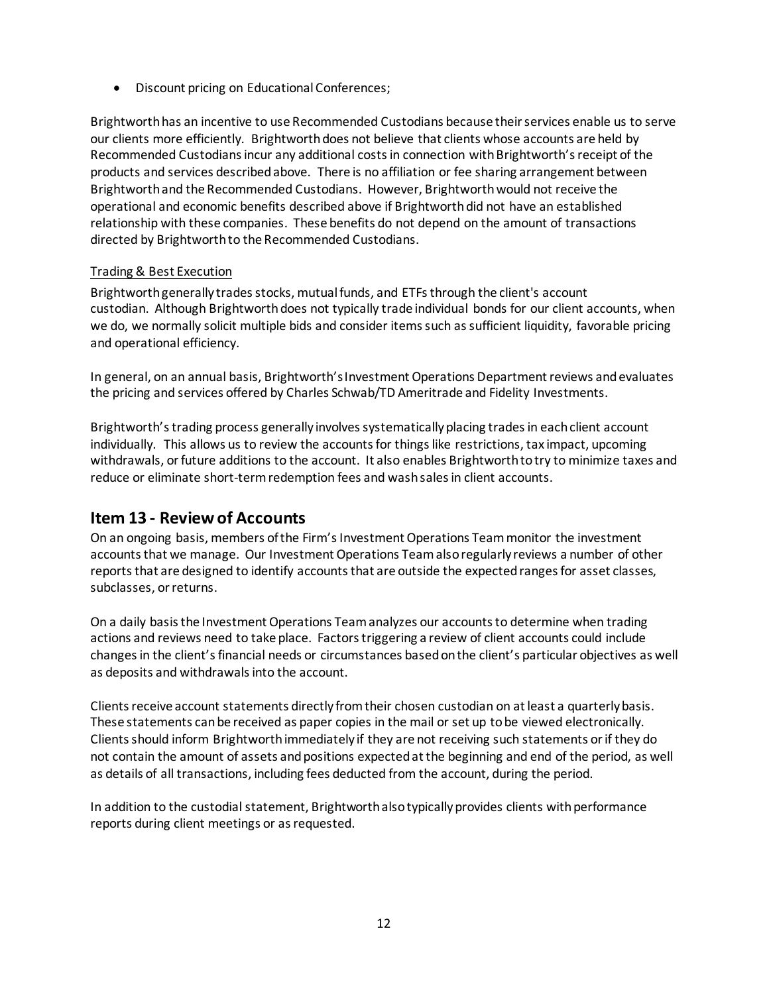• Discount pricing on Educational Conferences;

Brightworth has an incentive to use Recommended Custodians because their services enable us to serve our clients more efficiently. Brightworth does not believe that clients whose accounts are held by Recommended Custodians incur any additional costs in connection with Brightworth's receipt of the products and services described above. There is no affiliation or fee sharing arrangement between Brightworth and the Recommended Custodians. However, Brightworth would not receive the operational and economic benefits described above if Brightworth did not have an established relationship with these companies. These benefits do not depend on the amount of transactions directed by Brightworth to the Recommended Custodians.

#### Trading & Best Execution

Brightworthgenerally trades stocks, mutual funds, and ETFsthrough the client's account custodian. Although Brightworth does not typically trade individual bonds for our client accounts, when we do, we normally solicit multiple bids and consider items such as sufficient liquidity, favorable pricing and operational efficiency.

In general, on an annual basis, Brightworth's Investment Operations Department reviews and evaluates the pricing and services offered by Charles Schwab/TD Ameritrade and Fidelity Investments.

Brightworth's trading process generally involves systematically placing trades in each client account individually. This allows us to review the accounts for things like restrictions, tax impact, upcoming withdrawals, or future additions to the account. It also enables Brightworth to try to minimize taxes and reduce or eliminate short-term redemption fees and wash sales in client accounts.

### <span id="page-11-0"></span>**Item 13 - Review of Accounts**

On an ongoing basis, members of the Firm's Investment Operations Team monitor the investment accounts that we manage. Our Investment Operations Team also regularly reviews a number of other reports that are designed to identify accounts that are outside the expected ranges for asset classes, subclasses, or returns.

On a daily basis the Investment Operations Team analyzes our accounts to determine when trading actions and reviews need to take place. Factors triggering a review of client accounts could include changes in the client's financial needs or circumstances based on the client's particular objectives as well as deposits and withdrawals into the account.

Clients receive account statements directly from their chosen custodian on at least a quarterly basis. These statements can be received as paper copies in the mail or set up to be viewed electronically. Clients should inform Brightworth immediately if they are not receiving such statements or if they do not contain the amount of assets and positions expectedat the beginning and end of the period, as well as details of all transactions, including fees deducted from the account, during the period.

In addition to the custodial statement, Brightworth also typically provides clients with performance reports during client meetings or as requested.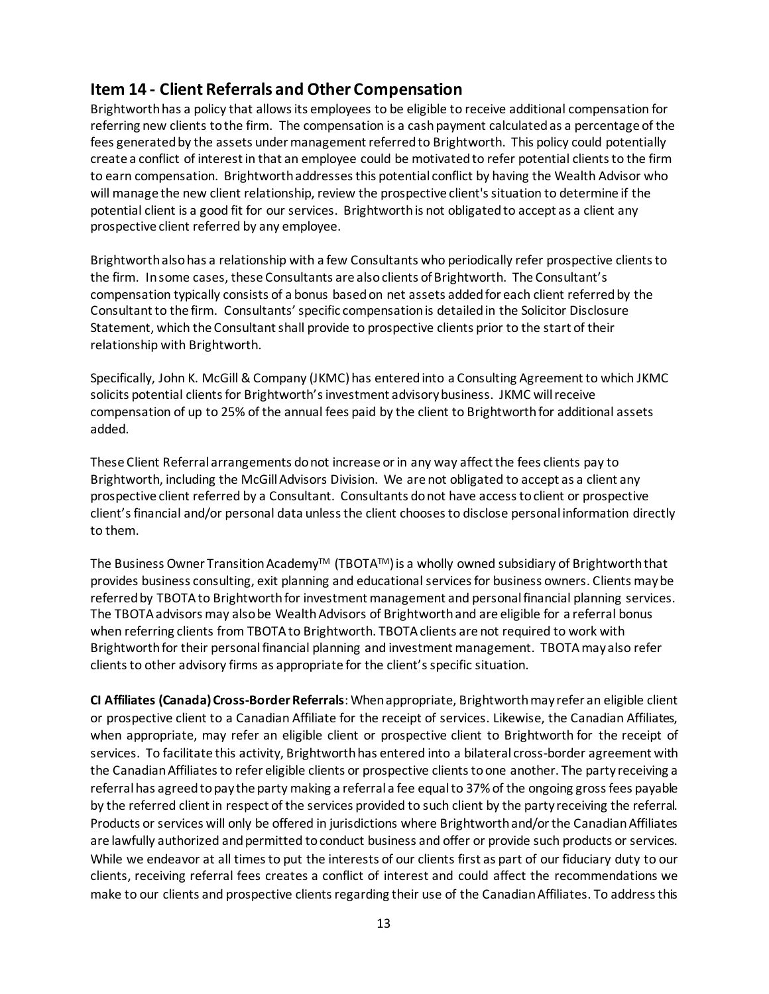### <span id="page-12-0"></span>**Item 14 - Client Referrals and Other Compensation**

Brightworth has a policy that allows its employees to be eligible to receive additional compensation for referring new clients to the firm. The compensation is a cash payment calculated as a percentage of the fees generated by the assets under management referred to Brightworth. This policy could potentially create a conflict of interest in that an employee could be motivated to refer potential clients to the firm to earn compensation. Brightworth addresses this potential conflict by having the Wealth Advisor who will manage the new client relationship, review the prospective client's situation to determine if the potential client is a good fit for our services. Brightworth is not obligated to accept as a client any prospective client referred by any employee.

Brightworth also has a relationship with a few Consultants who periodically refer prospective clients to the firm. In some cases, these Consultants are also clients of Brightworth. The Consultant's compensation typically consists of a bonus based on net assets added for each client referred by the Consultant to the firm. Consultants' specific compensation is detailed in the Solicitor Disclosure Statement, which the Consultant shall provide to prospective clients prior to the start of their relationship with Brightworth.

Specifically, John K. McGill & Company (JKMC) has entered into a Consulting Agreement to which JKMC solicits potential clients for Brightworth's investment advisory business. JKMC will receive compensation of up to 25% of the annual fees paid by the client to Brightworth for additional assets added.

These Client Referral arrangements do not increase or in any way affect the fees clients pay to Brightworth, including the McGill Advisors Division. We are not obligated to accept as a client any prospective client referred by a Consultant. Consultants do not have access toclient or prospective client's financial and/or personal data unlessthe client chooses to disclose personal information directly to them.

The Business Owner Transition Academy<sup>™</sup> (TBOTA™) is a wholly owned subsidiary of Brightworth that provides business consulting, exit planning and educational services for business owners. Clients may be referred by TBOTA to Brightworth for investment management and personal financial planning services. The TBOTA advisors may also be Wealth Advisors of Brightworth and are eligible for a referral bonus when referring clients from TBOTA to Brightworth. TBOTA clients are not required to work with Brightworth for their personal financial planning and investment management. TBOTA may also refer clients to other advisory firms as appropriate for the client's specific situation.

**CI Affiliates (Canada) Cross-Border Referrals**: When appropriate, Brightworth may refer an eligible client or prospective client to a Canadian Affiliate for the receipt of services. Likewise, the Canadian Affiliates, when appropriate, may refer an eligible client or prospective client to Brightworth for the receipt of services. To facilitate this activity, Brightworth has entered into a bilateral cross-border agreement with the Canadian Affiliates to refer eligible clients or prospective clients to one another. The party receiving a referral has agreed to pay the party making a referral a fee equal to 37% of the ongoing gross fees payable by the referred client in respect of the services provided to such client by the party receiving the referral. Products or services will only be offered in jurisdictions where Brightworth and/or the Canadian Affiliates are lawfully authorized and permitted to conduct business and offer or provide such products or services. While we endeavor at all times to put the interests of our clients first as part of our fiduciary duty to our clients, receiving referral fees creates a conflict of interest and could affect the recommendations we make to our clients and prospective clients regarding their use of the Canadian Affiliates. To address this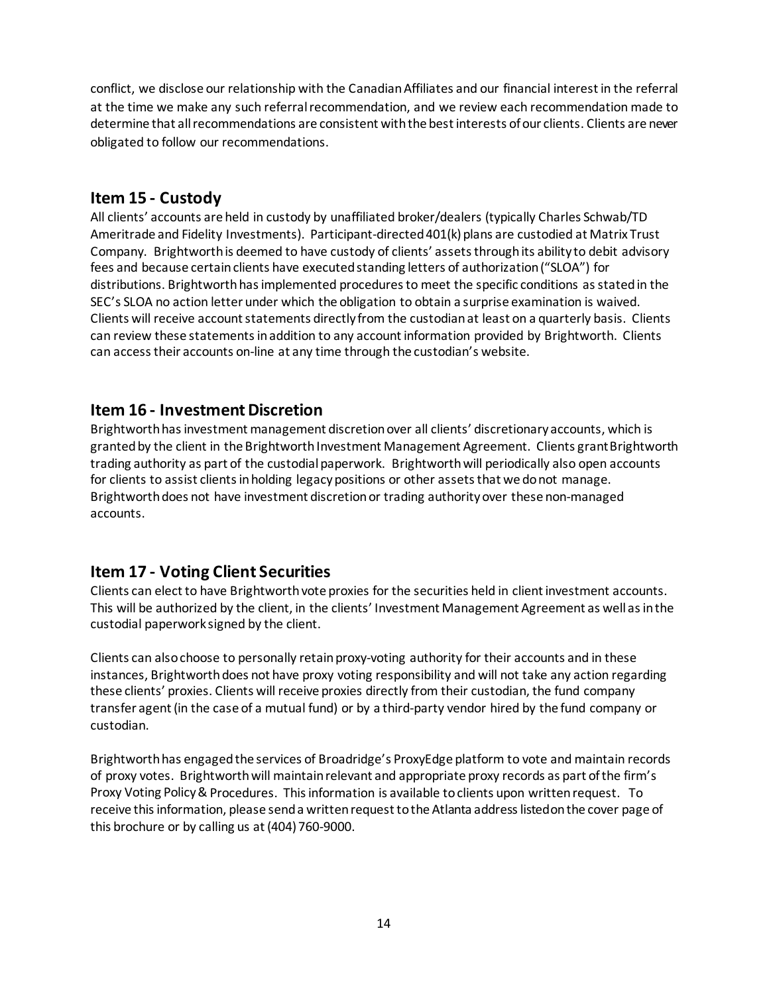conflict, we disclose our relationship with the Canadian Affiliates and our financial interest in the referral at the time we make any such referral recommendation, and we review each recommendation made to determine that all recommendations are consistent with the best interests of our clients. Clients are never obligated to follow our recommendations.

### <span id="page-13-0"></span>**Item 15 - Custody**

All clients' accounts are held in custody by unaffiliated broker/dealers (typically Charles Schwab/TD Ameritrade and Fidelity Investments). Participant-directed 401(k) plans are custodied at Matrix Trust Company. Brightworth is deemed to have custody of clients' assets through its ability to debit advisory fees and because certain clients have executed standing letters of authorization ("SLOA") for distributions. Brightworth has implemented procedures to meet the specific conditions as stated in the SEC's SLOA no action letter under which the obligation to obtain a surprise examination is waived. Clients will receive account statements directly from the custodian at least on a quarterly basis. Clients can review these statements in addition to any account information provided by Brightworth. Clients can access their accounts on-line at any time through the custodian's website.

### <span id="page-13-1"></span>**Item 16 - Investment Discretion**

Brightworth has investment management discretion over all clients' discretionary accounts, which is granted by the client in the Brightworth Investment Management Agreement. Clients grant Brightworth trading authority as part of the custodial paperwork. Brightworthwill periodically also open accounts for clients to assist clients in holding legacy positions or other assets that we do not manage. Brightworth does not have investment discretion or trading authority over these non-managed accounts.

### <span id="page-13-2"></span>**Item 17 - Voting Client Securities**

Clients can elect to have Brightworth vote proxies for the securities held in client investment accounts. This will be authorized by the client, in the clients' Investment Management Agreement as well as in the custodial paperwork signed by the client.

Clients can also choose to personally retain proxy-voting authority for their accounts and in these instances, Brightworth does not have proxy voting responsibility and will not take any action regarding these clients' proxies. Clients will receive proxies directly from their custodian, the fund company transfer agent (in the case of a mutual fund) or by a third-party vendor hired by the fund company or custodian.

Brightworth has engaged the services of Broadridge's ProxyEdge platform to vote and maintain records of proxy votes. Brightworth will maintainrelevant and appropriate proxy records as part ofthe firm's Proxy Voting Policy& Procedures. This information is available toclients upon writtenrequest. To receive this information, please send a written request to the Atlanta address listed on the cover page of this brochure or by calling us at (404) 760-9000.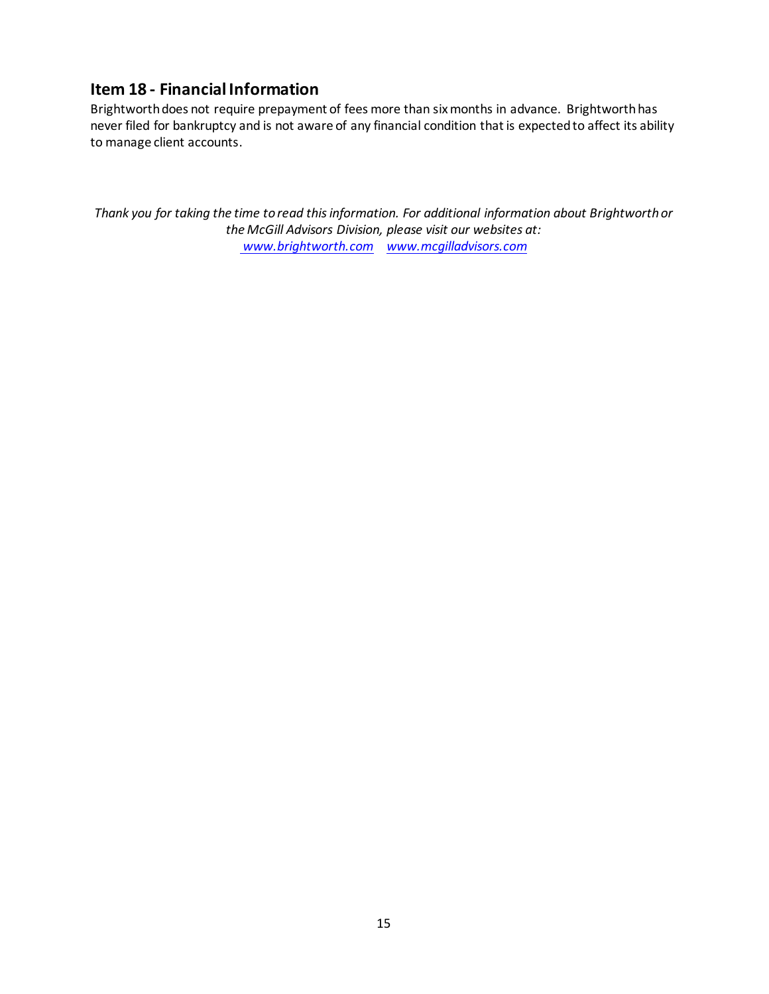### <span id="page-14-0"></span>**Item 18 - Financial Information**

Brightworth does not require prepayment of fees more than six months in advance. Brightworth has never filed for bankruptcy and is not aware of any financial condition that is expected to affect its ability to manage client accounts.

*Thank you for taking the time to read this information. For additional information about Brightworth or the McGill Advisors Division, please visit our websites at: [www.brightworth.com](http://www.brightworth.com/) [www.mcgilladvisors.com](http://www.mcgilladvisors.com/)*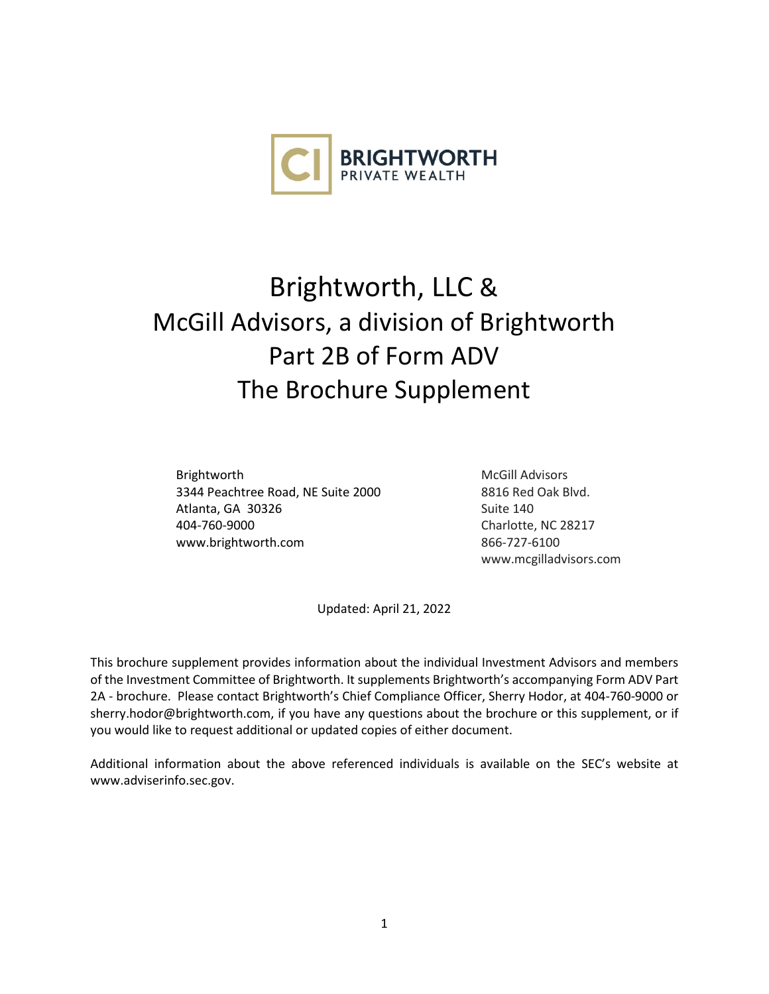

# Brightworth, LLC & McGill Advisors, a division of Brightworth Part 2B of Form ADV The Brochure Supplement

Brightworth 3344 Peachtree Road, NE Suite 2000 Atlanta, GA 30326 404-760-9000 [www.brightworth.com](http://www.brightworth.com/)

McGill Advisors 8816 Red Oak Blvd. Suite 140 Charlotte, NC 28217 866-727-6100 www.mc[gilladvisors.com](http://www.sconsulting.net/)

Updated: April 21, 2022

This brochure supplement provides information about the individual Investment Advisors and members of the Investment Committee of Brightworth. It supplements Brightworth's accompanying Form ADV Part 2A - brochure. Please contact Brightworth's Chief Compliance Officer, Sherry Hodor, at 404-760-9000 or sherry.hodor@brightworth.com, if you have any questions about the brochure or this supplement, or if you would like to request additional or updated copies of either document.

Additional information about the above referenced individuals is available on the SEC's website at [www.adviserinfo.sec.gov.](http://www.adviserinfo.sec.gov/)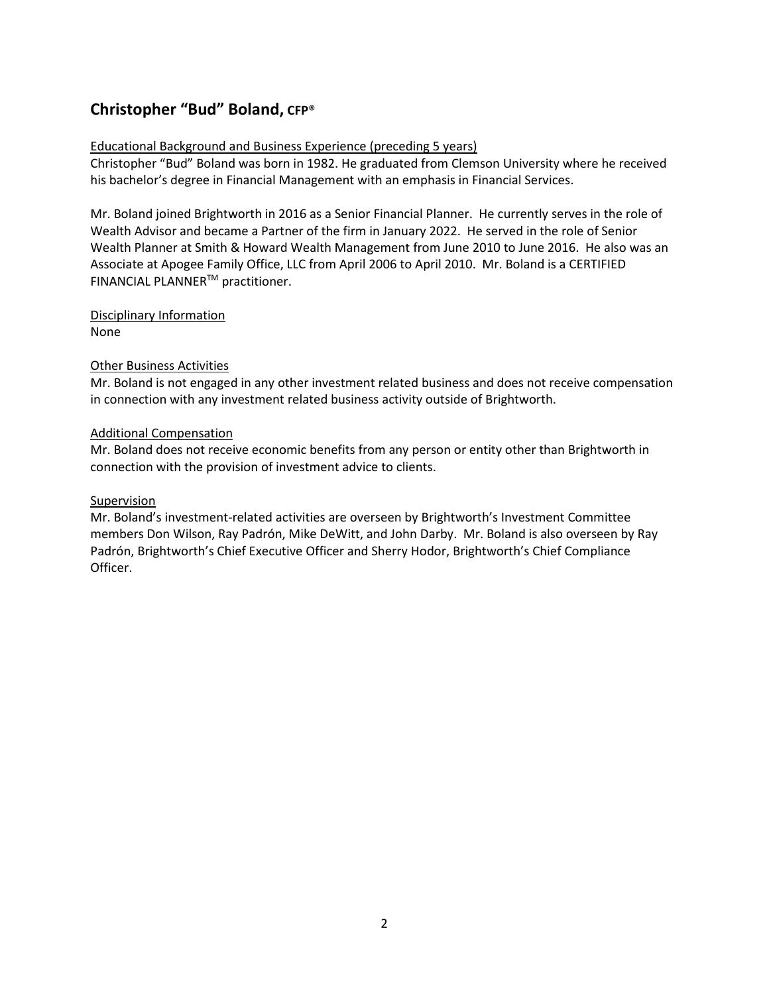### **Christopher "Bud" Boland, CFP**®

#### Educational Background and Business Experience (preceding 5 years)

Christopher "Bud" Boland was born in 1982. He graduated from Clemson University where he received his bachelor's degree in Financial Management with an emphasis in Financial Services.

Mr. Boland joined Brightworth in 2016 as a Senior Financial Planner. He currently serves in the role of Wealth Advisor and became a Partner of the firm in January 2022. He served in the role of Senior Wealth Planner at Smith & Howard Wealth Management from June 2010 to June 2016. He also was an Associate at Apogee Family Office, LLC from April 2006 to April 2010. Mr. Boland is a CERTIFIED FINANCIAL PLANNERTM practitioner.

## Disciplinary Information

None

#### Other Business Activities

Mr. Boland is not engaged in any other investment related business and does not receive compensation in connection with any investment related business activity outside of Brightworth.

#### Additional Compensation

Mr. Boland does not receive economic benefits from any person or entity other than Brightworth in connection with the provision of investment advice to clients.

#### Supervision

Mr. Boland's investment-related activities are overseen by Brightworth's Investment Committee members Don Wilson, Ray Padrón, Mike DeWitt, and John Darby. Mr. Boland is also overseen by Ray Padrón, Brightworth's Chief Executive Officer and Sherry Hodor, Brightworth's Chief Compliance Officer.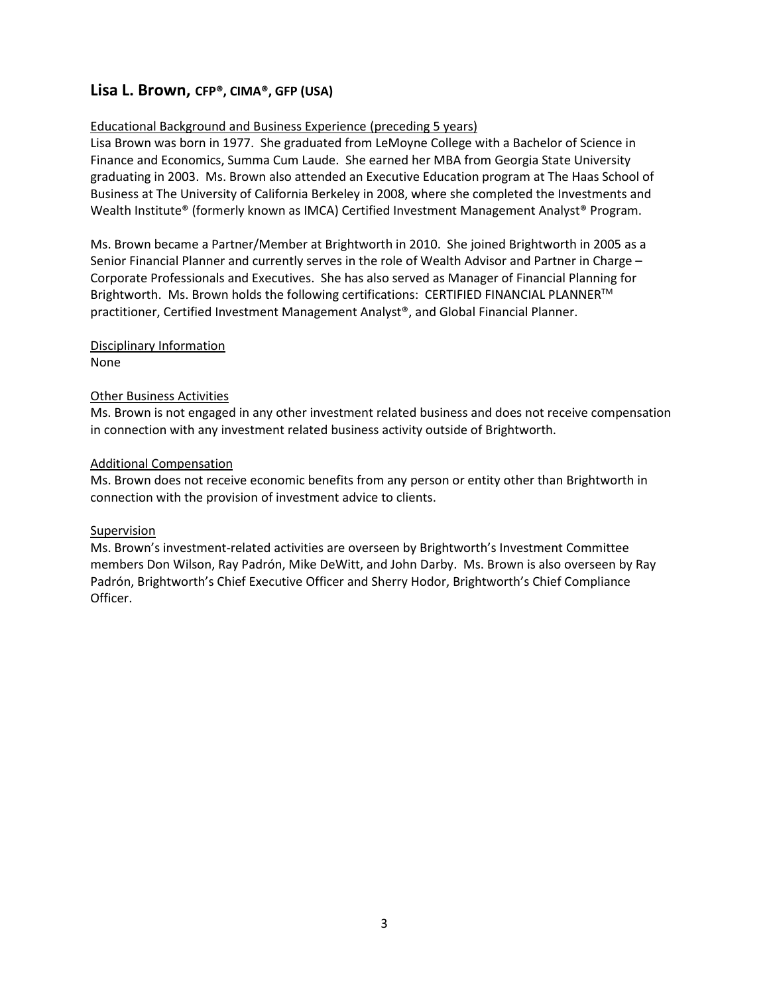### **Lisa L. Brown, CFP®, CIMA®, GFP (USA)**

#### Educational Background and Business Experience (preceding 5 years)

Lisa Brown was born in 1977. She graduated from LeMoyne College with a Bachelor of Science in Finance and Economics, Summa Cum Laude. She earned her MBA from Georgia State University graduating in 2003. Ms. Brown also attended an Executive Education program at The Haas School of Business at The University of California Berkeley in 2008, where she completed the Investments and Wealth Institute® (formerly known as IMCA) Certified Investment Management Analyst® Program.

Ms. Brown became a Partner/Member at Brightworth in 2010. She joined Brightworth in 2005 as a Senior Financial Planner and currently serves in the role of Wealth Advisor and Partner in Charge – Corporate Professionals and Executives. She has also served as Manager of Financial Planning for Brightworth. Ms. Brown holds the following certifications: CERTIFIED FINANCIAL PLANNERTM practitioner, Certified Investment Management Analyst®, and Global Financial Planner.

### Disciplinary Information

None

#### Other Business Activities

Ms. Brown is not engaged in any other investment related business and does not receive compensation in connection with any investment related business activity outside of Brightworth.

#### Additional Compensation

Ms. Brown does not receive economic benefits from any person or entity other than Brightworth in connection with the provision of investment advice to clients.

#### Supervision

Ms. Brown's investment-related activities are overseen by Brightworth's Investment Committee members Don Wilson, Ray Padrón, Mike DeWitt, and John Darby. Ms. Brown is also overseen by Ray Padrón, Brightworth's Chief Executive Officer and Sherry Hodor, Brightworth's Chief Compliance Officer.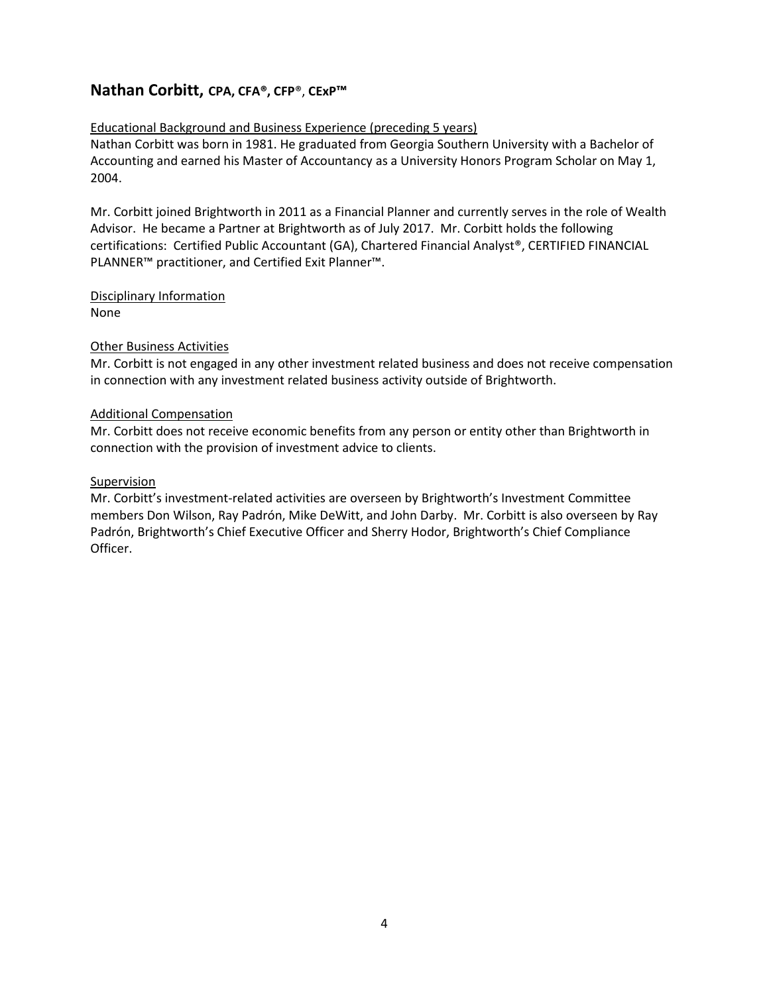### **Nathan Corbitt, CPA, CFA®, CFP**®, **CExP™**

#### Educational Background and Business Experience (preceding 5 years)

Nathan Corbitt was born in 1981. He graduated from Georgia Southern University with a Bachelor of Accounting and earned his Master of Accountancy as a University Honors Program Scholar on May 1, 2004.

Mr. Corbitt joined Brightworth in 2011 as a Financial Planner and currently serves in the role of Wealth Advisor. He became a Partner at Brightworth as of July 2017. Mr. Corbitt holds the following certifications: Certified Public Accountant (GA), Chartered Financial Analyst®, CERTIFIED FINANCIAL PLANNER™ practitioner, and Certified Exit Planner™.

### Disciplinary Information

None

#### Other Business Activities

Mr. Corbitt is not engaged in any other investment related business and does not receive compensation in connection with any investment related business activity outside of Brightworth.

#### Additional Compensation

Mr. Corbitt does not receive economic benefits from any person or entity other than Brightworth in connection with the provision of investment advice to clients.

#### **Supervision**

Mr. Corbitt's investment-related activities are overseen by Brightworth's Investment Committee members Don Wilson, Ray Padrón, Mike DeWitt, and John Darby. Mr. Corbitt is also overseen by Ray Padrón, Brightworth's Chief Executive Officer and Sherry Hodor, Brightworth's Chief Compliance Officer.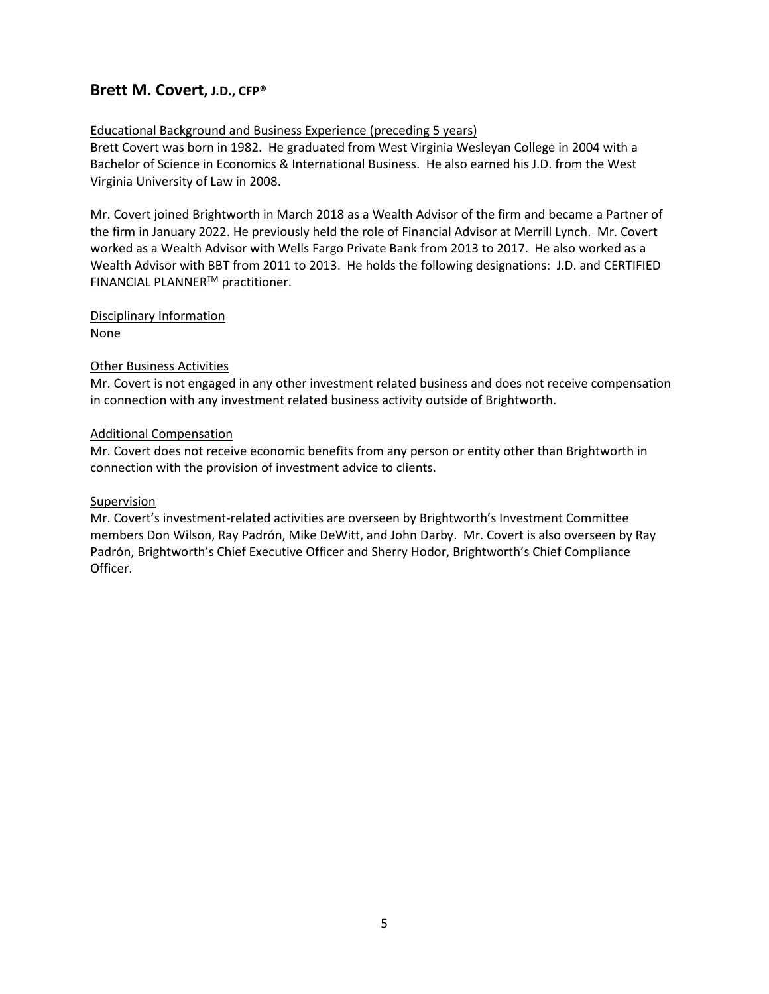### **Brett M. Covert, J.D., CFP®**

#### Educational Background and Business Experience (preceding 5 years)

Brett Covert was born in 1982. He graduated from West Virginia Wesleyan College in 2004 with a Bachelor of Science in Economics & International Business. He also earned his J.D. from the West Virginia University of Law in 2008.

Mr. Covert joined Brightworth in March 2018 as a Wealth Advisor of the firm and became a Partner of the firm in January 2022. He previously held the role of Financial Advisor at Merrill Lynch. Mr. Covert worked as a Wealth Advisor with Wells Fargo Private Bank from 2013 to 2017. He also worked as a Wealth Advisor with BBT from 2011 to 2013. He holds the following designations: J.D. and CERTIFIED FINANCIAL PLANNERTM practitioner.

Disciplinary Information None

## Other Business Activities

Mr. Covert is not engaged in any other investment related business and does not receive compensation in connection with any investment related business activity outside of Brightworth.

#### Additional Compensation

Mr. Covert does not receive economic benefits from any person or entity other than Brightworth in connection with the provision of investment advice to clients.

#### Supervision

Mr. Covert's investment-related activities are overseen by Brightworth's Investment Committee members Don Wilson, Ray Padrón, Mike DeWitt, and John Darby. Mr. Covert is also overseen by Ray Padrón, Brightworth's Chief Executive Officer and Sherry Hodor, Brightworth's Chief Compliance Officer.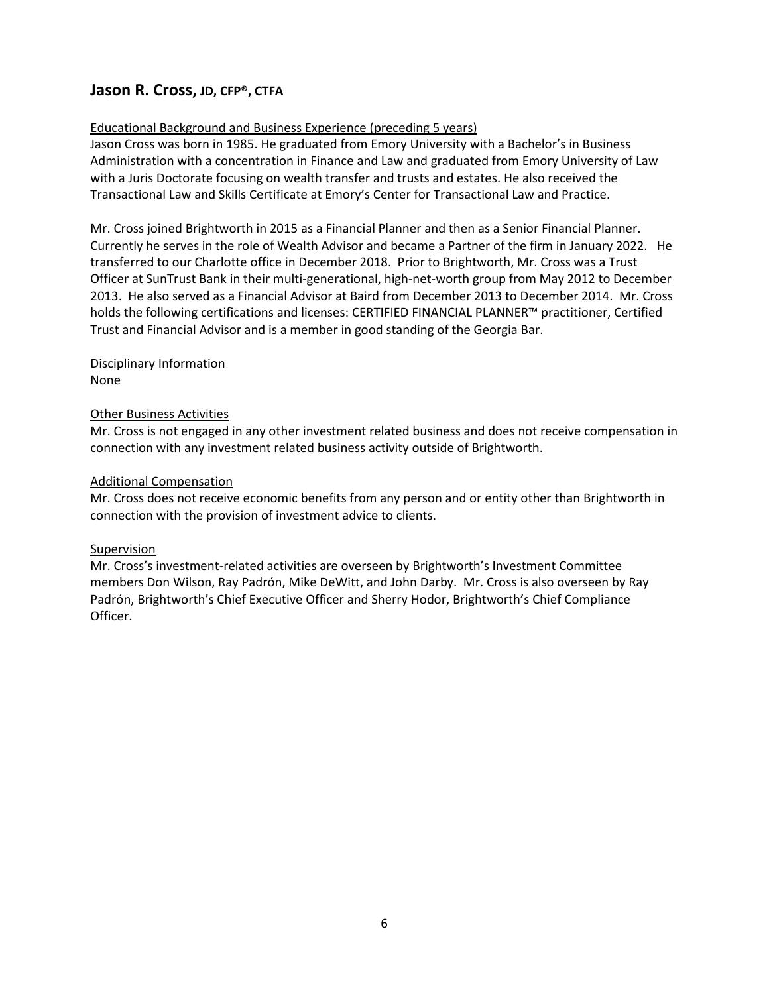### **Jason R. Cross, JD, CFP®, CTFA**

#### Educational Background and Business Experience (preceding 5 years)

Jason Cross was born in 1985. He graduated from Emory University with a Bachelor's in Business Administration with a concentration in Finance and Law and graduated from Emory University of Law with a Juris Doctorate focusing on wealth transfer and trusts and estates. He also received the Transactional Law and Skills Certificate at Emory's Center for Transactional Law and Practice.

Mr. Cross joined Brightworth in 2015 as a Financial Planner and then as a Senior Financial Planner. Currently he serves in the role of Wealth Advisor and became a Partner of the firm in January 2022. He transferred to our Charlotte office in December 2018. Prior to Brightworth, Mr. Cross was a Trust Officer at SunTrust Bank in their multi-generational, high-net-worth group from May 2012 to December 2013. He also served as a Financial Advisor at Baird from December 2013 to December 2014. Mr. Cross holds the following certifications and licenses: CERTIFIED FINANCIAL PLANNER™ practitioner, Certified Trust and Financial Advisor and is a member in good standing of the Georgia Bar.

#### Disciplinary Information None

#### Other Business Activities

Mr. Cross is not engaged in any other investment related business and does not receive compensation in connection with any investment related business activity outside of Brightworth.

#### Additional Compensation

Mr. Cross does not receive economic benefits from any person and or entity other than Brightworth in connection with the provision of investment advice to clients.

#### Supervision

Mr. Cross's investment-related activities are overseen by Brightworth's Investment Committee members Don Wilson, Ray Padrón, Mike DeWitt, and John Darby. Mr. Cross is also overseen by Ray Padrón, Brightworth's Chief Executive Officer and Sherry Hodor, Brightworth's Chief Compliance Officer.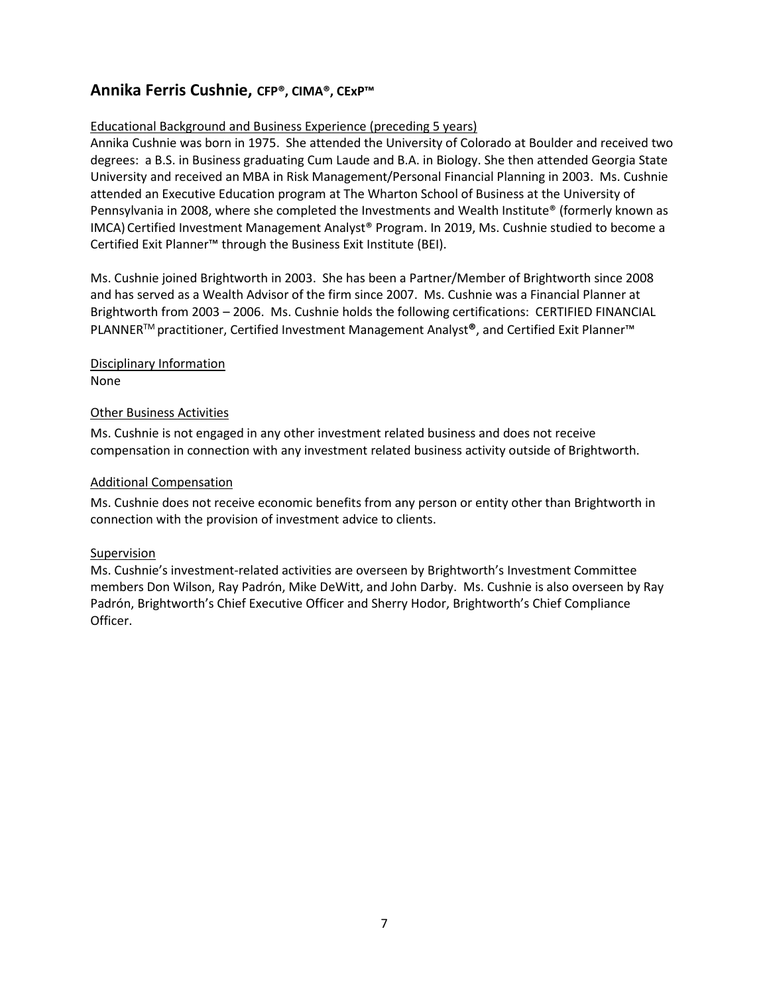### **Annika Ferris Cushnie, CFP®, CIMA®, CExP™**

#### Educational Background and Business Experience (preceding 5 years)

Annika Cushnie was born in 1975. She attended the University of Colorado at Boulder and received two degrees: a B.S. in Business graduating Cum Laude and B.A. in Biology. She then attended Georgia State University and received an MBA in Risk Management/Personal Financial Planning in 2003. Ms. Cushnie attended an Executive Education program at The Wharton School of Business at the University of Pennsylvania in 2008, where she completed the Investments and Wealth Institute® (formerly known as IMCA) Certified Investment Management Analyst® Program. In 2019, Ms. Cushnie studied to become a Certified Exit Planner™ through the Business Exit Institute (BEI).

Ms. Cushnie joined Brightworth in 2003. She has been a Partner/Member of Brightworth since 2008 and has served as a Wealth Advisor of the firm since 2007. Ms. Cushnie was a Financial Planner at Brightworth from 2003 – 2006. Ms. Cushnie holds the following certifications: CERTIFIED FINANCIAL PLANNERTM practitioner, Certified Investment Management Analyst**®**, and Certified Exit Planner™

Disciplinary Information None

#### Other Business Activities

Ms. Cushnie is not engaged in any other investment related business and does not receive compensation in connection with any investment related business activity outside of Brightworth.

#### Additional Compensation

Ms. Cushnie does not receive economic benefits from any person or entity other than Brightworth in connection with the provision of investment advice to clients.

#### Supervision

Ms. Cushnie's investment-related activities are overseen by Brightworth's Investment Committee members Don Wilson, Ray Padrón, Mike DeWitt, and John Darby. Ms. Cushnie is also overseen by Ray Padrón, Brightworth's Chief Executive Officer and Sherry Hodor, Brightworth's Chief Compliance Officer.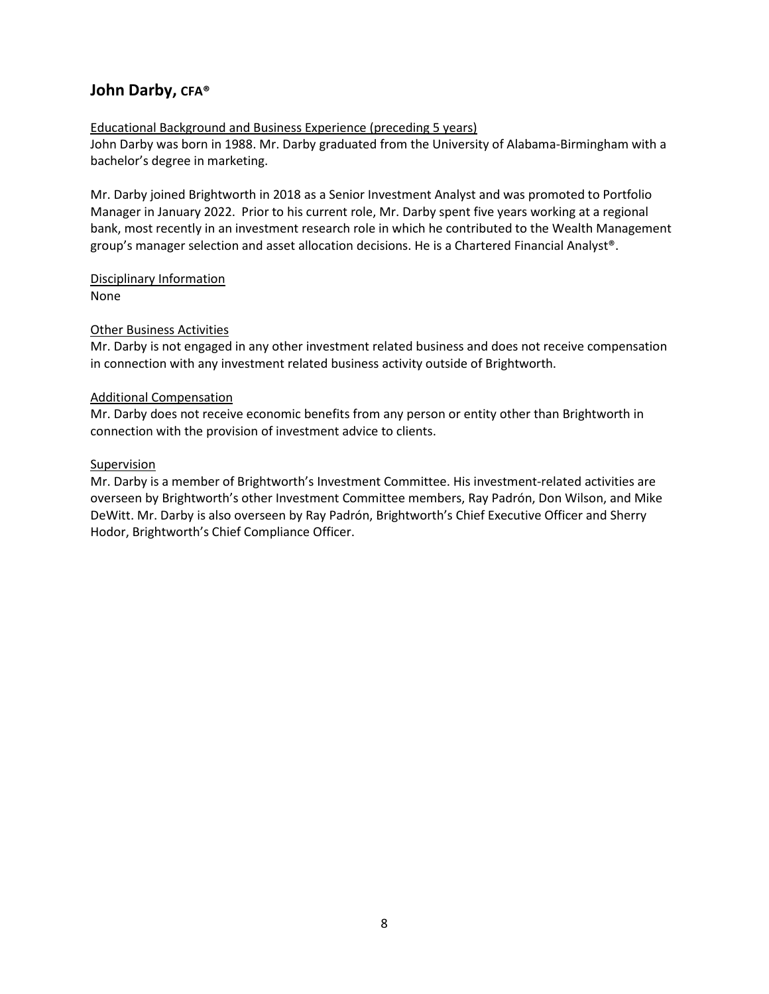### **John Darby, CFA®**

#### Educational Background and Business Experience (preceding 5 years)

John Darby was born in 1988. Mr. Darby graduated from the University of Alabama-Birmingham with a bachelor's degree in marketing.

Mr. Darby joined Brightworth in 2018 as a Senior Investment Analyst and was promoted to Portfolio Manager in January 2022. Prior to his current role, Mr. Darby spent five years working at a regional bank, most recently in an investment research role in which he contributed to the Wealth Management group's manager selection and asset allocation decisions. He is a Chartered Financial Analyst®.

Disciplinary Information None

#### Other Business Activities

Mr. Darby is not engaged in any other investment related business and does not receive compensation in connection with any investment related business activity outside of Brightworth.

#### Additional Compensation

Mr. Darby does not receive economic benefits from any person or entity other than Brightworth in connection with the provision of investment advice to clients.

#### Supervision

Mr. Darby is a member of Brightworth's Investment Committee. His investment-related activities are overseen by Brightworth's other Investment Committee members, Ray Padrón, Don Wilson, and Mike DeWitt. Mr. Darby is also overseen by Ray Padrón, Brightworth's Chief Executive Officer and Sherry Hodor, Brightworth's Chief Compliance Officer.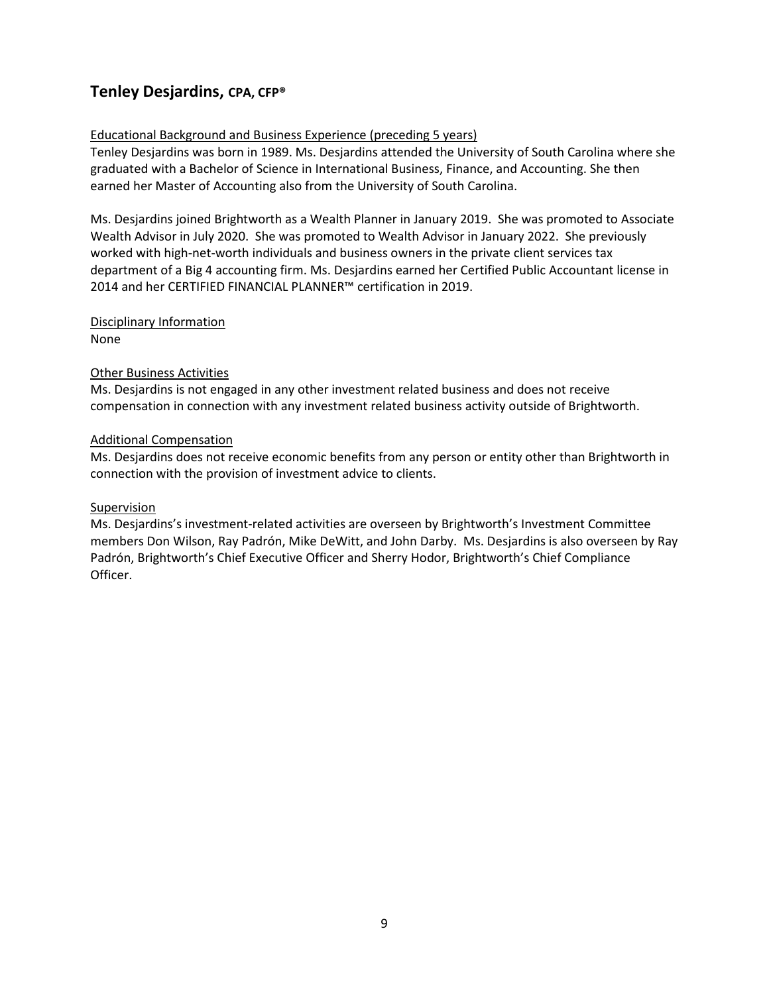### **Tenley Desjardins, CPA, CFP®**

#### Educational Background and Business Experience (preceding 5 years)

Tenley Desjardins was born in 1989. Ms. Desjardins attended the University of South Carolina where she graduated with a Bachelor of Science in International Business, Finance, and Accounting. She then earned her Master of Accounting also from the University of South Carolina.

Ms. Desjardins joined Brightworth as a Wealth Planner in January 2019. She was promoted to Associate Wealth Advisor in July 2020. She was promoted to Wealth Advisor in January 2022. She previously worked with high-net-worth individuals and business owners in the private client services tax department of a Big 4 accounting firm. Ms. Desjardins earned her Certified Public Accountant license in 2014 and her CERTIFIED FINANCIAL PLANNER™ certification in 2019.

### Disciplinary Information

None 

#### Other Business Activities

Ms. Desjardins is not engaged in any other investment related business and does not receive compensation in connection with any investment related business activity outside of Brightworth. 

#### Additional Compensation

Ms. Desjardins does not receive economic benefits from any person or entity other than Brightworth in connection with the provision of investment advice to clients. 

#### Supervision

Ms. Desjardins's investment-related activities are overseen by Brightworth's Investment Committee members Don Wilson, Ray Padrón, Mike DeWitt, and John Darby. Ms. Desjardins is also overseen by Ray Padrón, Brightworth's Chief Executive Officer and Sherry Hodor, Brightworth's Chief Compliance Officer.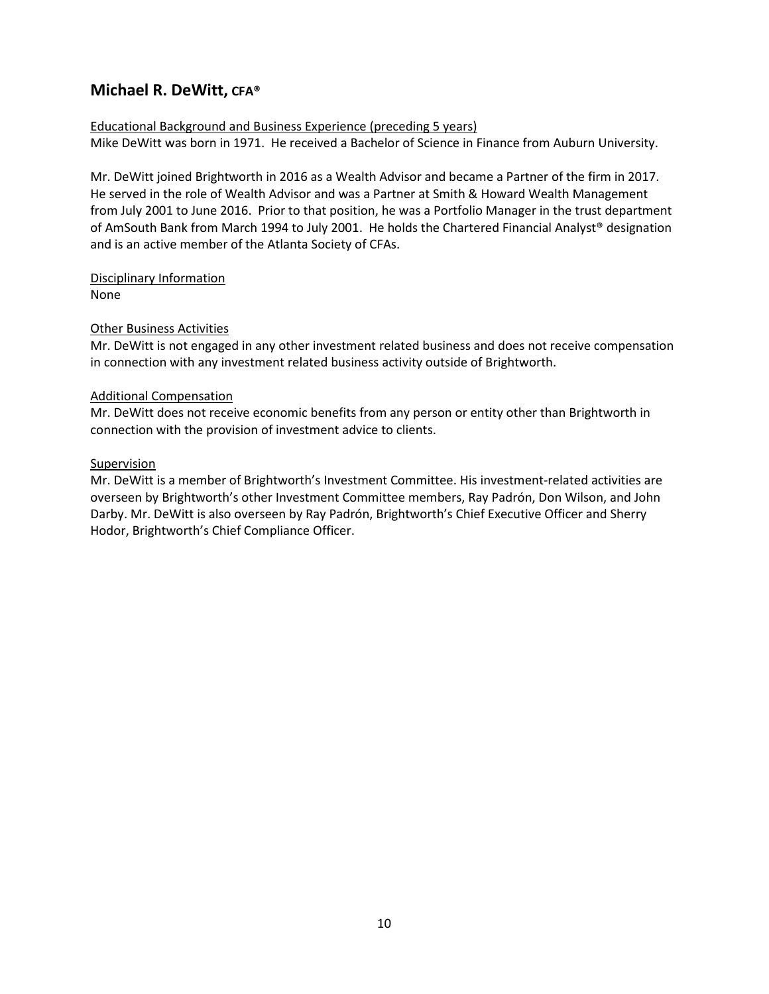### **Michael R. DeWitt, CFA®**

#### Educational Background and Business Experience (preceding 5 years) Mike DeWitt was born in 1971. He received a Bachelor of Science in Finance from Auburn University.

Mr. DeWitt joined Brightworth in 2016 as a Wealth Advisor and became a Partner of the firm in 2017. He served in the role of Wealth Advisor and was a Partner at Smith & Howard Wealth Management from July 2001 to June 2016. Prior to that position, he was a Portfolio Manager in the trust department of AmSouth Bank from March 1994 to July 2001. He holds the Chartered Financial Analyst<sup>®</sup> designation and is an active member of the Atlanta Society of CFAs.

Disciplinary Information None

#### Other Business Activities

Mr. DeWitt is not engaged in any other investment related business and does not receive compensation in connection with any investment related business activity outside of Brightworth.

#### Additional Compensation

Mr. DeWitt does not receive economic benefits from any person or entity other than Brightworth in connection with the provision of investment advice to clients.

#### Supervision

Mr. DeWitt is a member of Brightworth's Investment Committee. His investment-related activities are overseen by Brightworth's other Investment Committee members, Ray Padrón, Don Wilson, and John Darby. Mr. DeWitt is also overseen by Ray Padrón, Brightworth's Chief Executive Officer and Sherry Hodor, Brightworth's Chief Compliance Officer.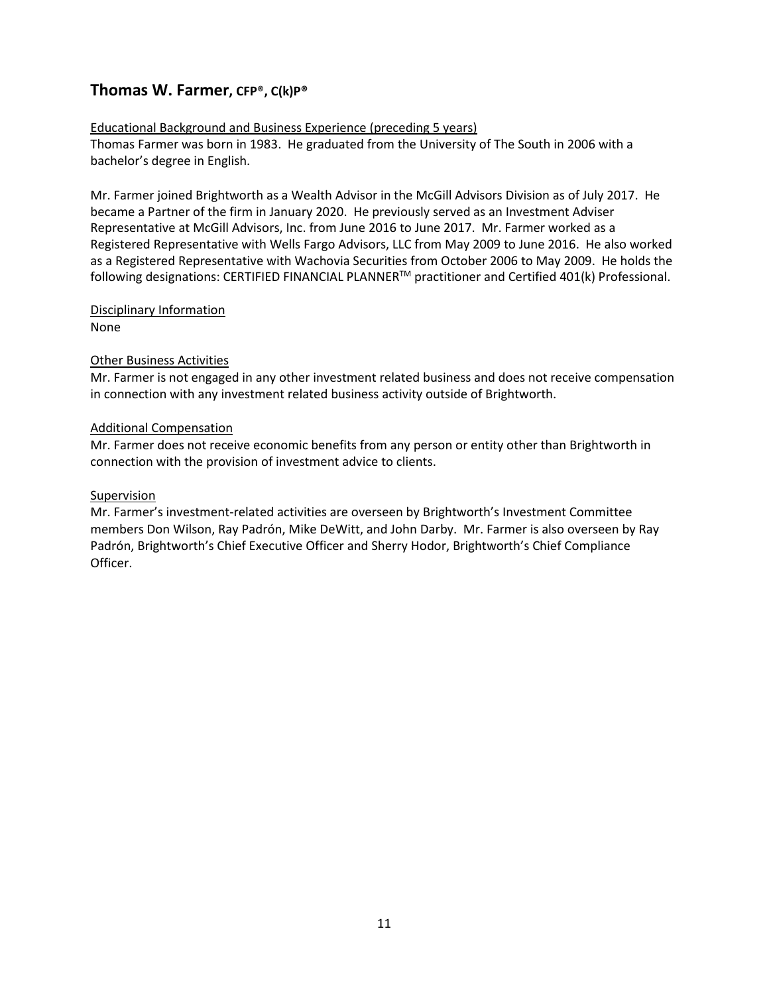### **Thomas W. Farmer, CFP**®**, C(k)P®**

#### Educational Background and Business Experience (preceding 5 years)

Thomas Farmer was born in 1983. He graduated from the University of The South in 2006 with a bachelor's degree in English.

Mr. Farmer joined Brightworth as a Wealth Advisor in the McGill Advisors Division as of July 2017. He became a Partner of the firm in January 2020. He previously served as an Investment Adviser Representative at McGill Advisors, Inc. from June 2016 to June 2017. Mr. Farmer worked as a Registered Representative with Wells Fargo Advisors, LLC from May 2009 to June 2016. He also worked as a Registered Representative with Wachovia Securities from October 2006 to May 2009. He holds the following designations: CERTIFIED FINANCIAL PLANNERTM practitioner and Certified 401(k) Professional.

#### Disciplinary Information

None

#### Other Business Activities

Mr. Farmer is not engaged in any other investment related business and does not receive compensation in connection with any investment related business activity outside of Brightworth.

#### Additional Compensation

Mr. Farmer does not receive economic benefits from any person or entity other than Brightworth in connection with the provision of investment advice to clients.

#### Supervision

Mr. Farmer's investment-related activities are overseen by Brightworth's Investment Committee members Don Wilson, Ray Padrón, Mike DeWitt, and John Darby. Mr. Farmer is also overseen by Ray Padrón, Brightworth's Chief Executive Officer and Sherry Hodor, Brightworth's Chief Compliance Officer.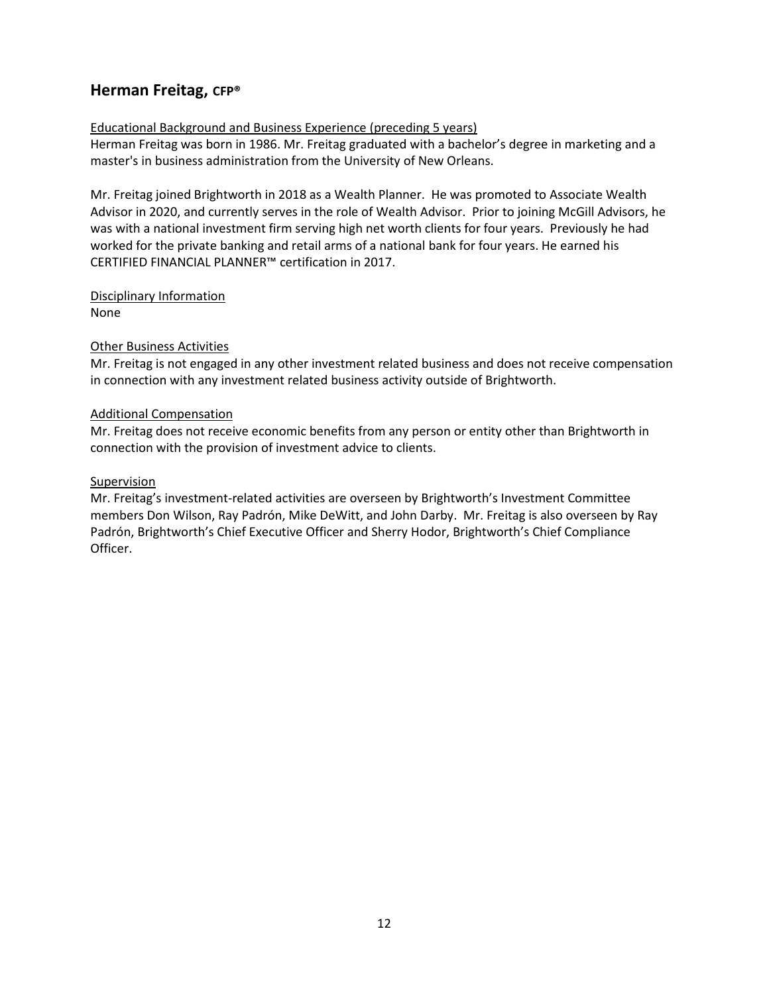### **Herman Freitag, CFP®**

#### Educational Background and Business Experience (preceding 5 years)

Herman Freitag was born in 1986. Mr. Freitag graduated with a bachelor's degree in marketing and a master's in business administration from the University of New Orleans.

Mr. Freitag joined Brightworth in 2018 as a Wealth Planner. He was promoted to Associate Wealth Advisor in 2020, and currently serves in the role of Wealth Advisor. Prior to joining McGill Advisors, he was with a national investment firm serving high net worth clients for four years. Previously he had worked for the private banking and retail arms of a national bank for four years. He earned his CERTIFIED FINANCIAL PLANNER™ certification in 2017.

Disciplinary Information None

#### Other Business Activities

Mr. Freitag is not engaged in any other investment related business and does not receive compensation in connection with any investment related business activity outside of Brightworth.

#### Additional Compensation

Mr. Freitag does not receive economic benefits from any person or entity other than Brightworth in connection with the provision of investment advice to clients.

#### **Supervision**

Mr. Freitag's investment-related activities are overseen by Brightworth's Investment Committee members Don Wilson, Ray Padrón, Mike DeWitt, and John Darby. Mr. Freitag is also overseen by Ray Padrón, Brightworth's Chief Executive Officer and Sherry Hodor, Brightworth's Chief Compliance Officer.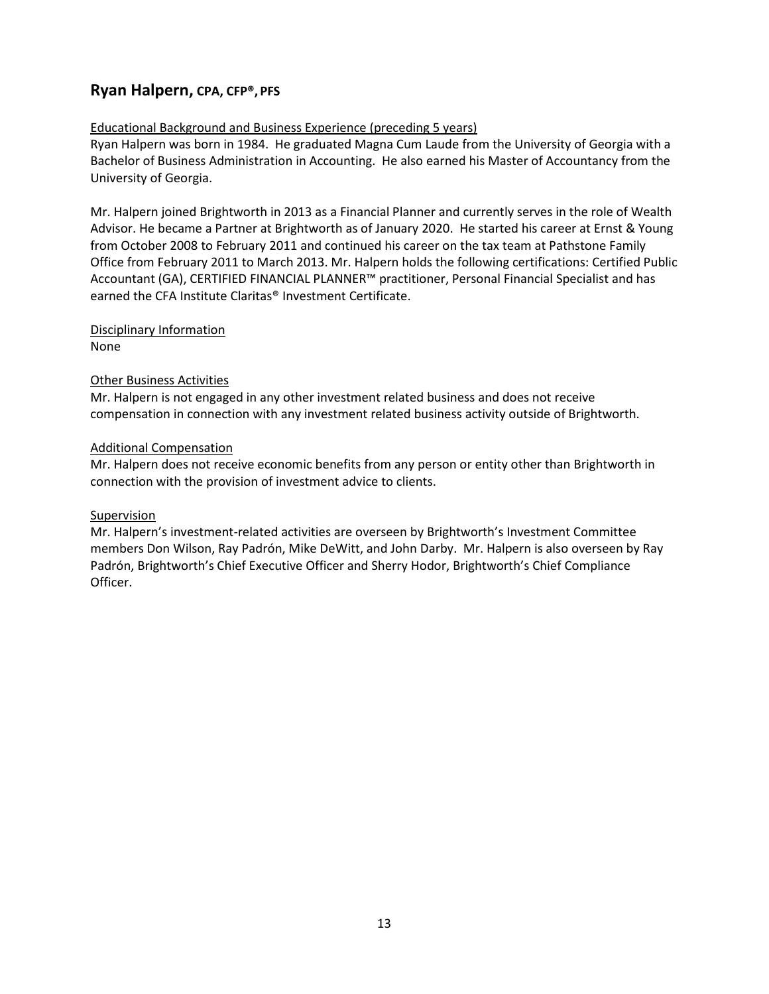### **Ryan Halpern, CPA, CFP®, PFS**

#### Educational Background and Business Experience (preceding 5 years)

Ryan Halpern was born in 1984.He graduated Magna Cum Laude from the University of Georgia with a Bachelor of Business Administration in Accounting. He also earned his Master of Accountancy from the University of Georgia.

Mr. Halpern joined Brightworth in 2013 as a Financial Planner and currently serves in the role of Wealth Advisor. He became a Partner at Brightworth as of January 2020. He started his career at Ernst & Young from October 2008 to February 2011 and continued his career on the tax team at Pathstone Family Office from February 2011 to March 2013. Mr. Halpern holds the following certifications: Certified Public Accountant (GA), CERTIFIED FINANCIAL PLANNER™ practitioner, Personal Financial Specialist and has earned the CFA Institute Claritas® Investment Certificate.

#### Disciplinary Information

None

#### Other Business Activities

Mr. Halpern is not engaged in any other investment related business and does not receive compensation in connection with any investment related business activity outside of Brightworth.

#### Additional Compensation

Mr. Halpern does not receive economic benefits from any person or entity other than Brightworth in connection with the provision of investment advice to clients.

#### Supervision

Mr. Halpern's investment-related activities are overseen by Brightworth's Investment Committee members Don Wilson, Ray Padrón, Mike DeWitt, and John Darby. Mr. Halpern is also overseen by Ray Padrón, Brightworth's Chief Executive Officer and Sherry Hodor, Brightworth's Chief Compliance Officer.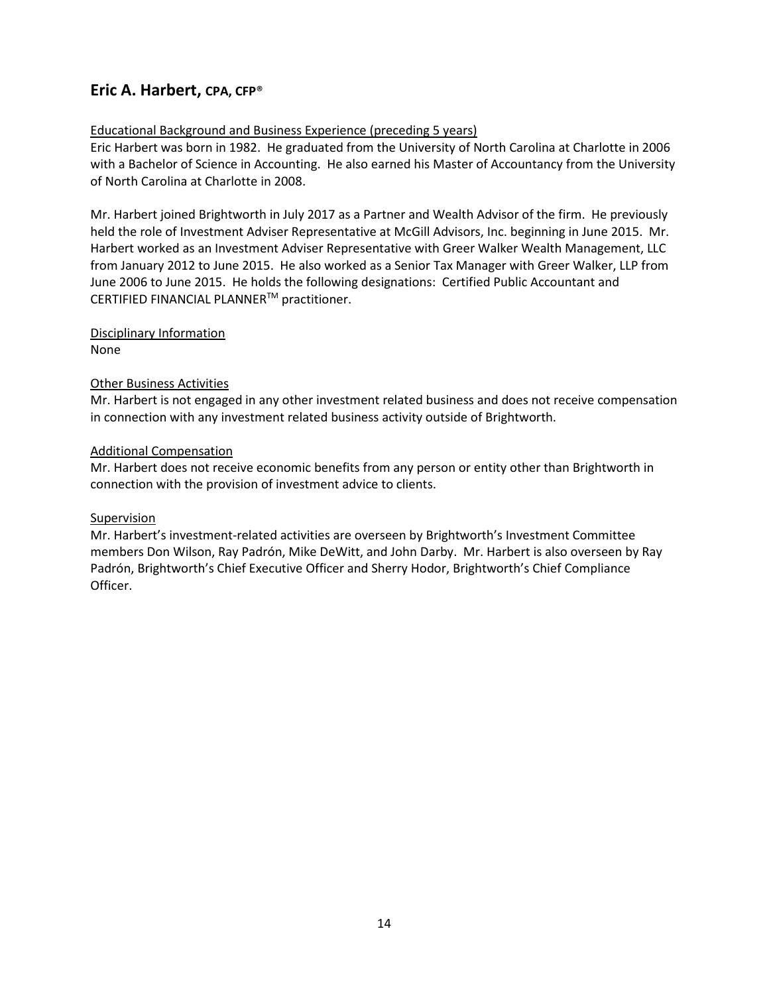### **Eric A. Harbert, CPA, CFP**®

#### Educational Background and Business Experience (preceding 5 years)

Eric Harbert was born in 1982. He graduated from the University of North Carolina at Charlotte in 2006 with a Bachelor of Science in Accounting. He also earned his Master of Accountancy from the University of North Carolina at Charlotte in 2008.

Mr. Harbert joined Brightworth in July 2017 as a Partner and Wealth Advisor of the firm. He previously held the role of Investment Adviser Representative at McGill Advisors, Inc. beginning in June 2015. Mr. Harbert worked as an Investment Adviser Representative with Greer Walker Wealth Management, LLC from January 2012 to June 2015. He also worked as a Senior Tax Manager with Greer Walker, LLP from June 2006 to June 2015. He holds the following designations: Certified Public Accountant and CERTIFIED FINANCIAL PLANNERTM practitioner.

Disciplinary Information

None

#### Other Business Activities

Mr. Harbert is not engaged in any other investment related business and does not receive compensation in connection with any investment related business activity outside of Brightworth.

#### Additional Compensation

Mr. Harbert does not receive economic benefits from any person or entity other than Brightworth in connection with the provision of investment advice to clients.

#### Supervision

Mr. Harbert's investment-related activities are overseen by Brightworth's Investment Committee members Don Wilson, Ray Padrón, Mike DeWitt, and John Darby. Mr. Harbert is also overseen by Ray Padrón, Brightworth's Chief Executive Officer and Sherry Hodor, Brightworth's Chief Compliance Officer.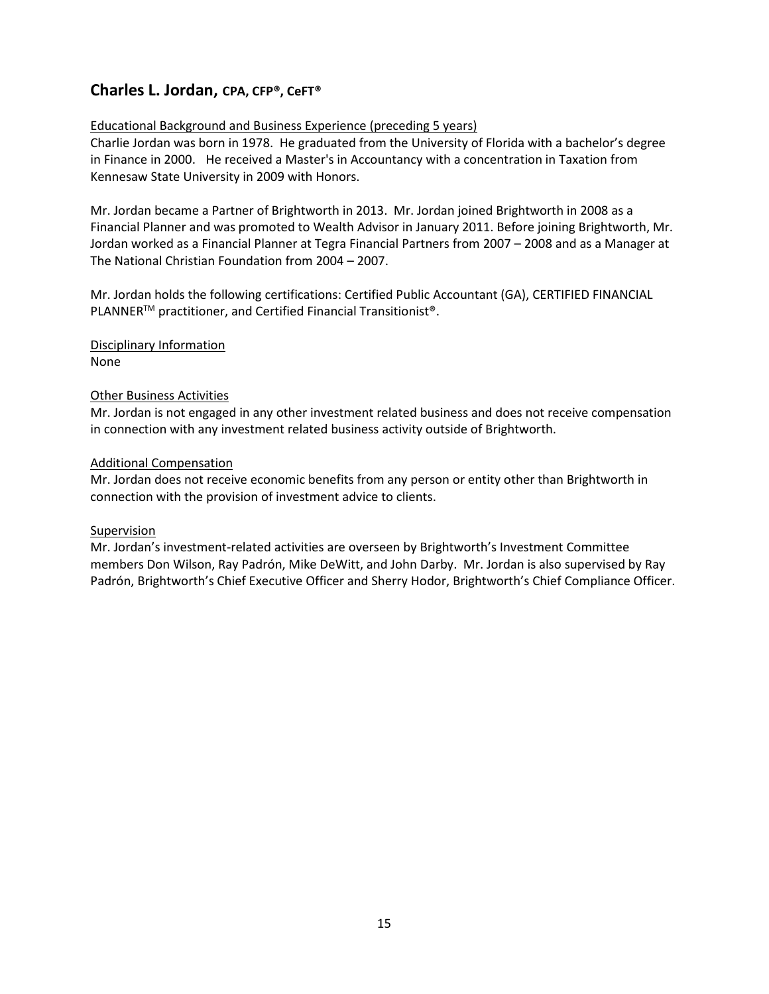### **Charles L. Jordan, CPA, CFP®, CeFT®**

#### Educational Background and Business Experience (preceding 5 years)

Charlie Jordan was born in 1978. He graduated from the University of Florida with a bachelor's degree in Finance in 2000. He received a Master's in Accountancy with a concentration in Taxation from Kennesaw State University in 2009 with Honors.

Mr. Jordan became a Partner of Brightworth in 2013. Mr. Jordan joined Brightworth in 2008 as a Financial Planner and was promoted to Wealth Advisor in January 2011. Before joining Brightworth, Mr. Jordan worked as a Financial Planner at Tegra Financial Partners from 2007 – 2008 and as a Manager at The National Christian Foundation from 2004 – 2007.

Mr. Jordan holds the following certifications: Certified Public Accountant (GA), CERTIFIED FINANCIAL PLANNER<sup>™</sup> practitioner, and Certified Financial Transitionist<sup>®</sup>.

Disciplinary Information None

#### Other Business Activities

Mr. Jordan is not engaged in any other investment related business and does not receive compensation in connection with any investment related business activity outside of Brightworth.

#### Additional Compensation

Mr. Jordan does not receive economic benefits from any person or entity other than Brightworth in connection with the provision of investment advice to clients.

#### Supervision

Mr. Jordan's investment-related activities are overseen by Brightworth's Investment Committee members Don Wilson, Ray Padrón, Mike DeWitt, and John Darby. Mr. Jordan is also supervised by Ray Padrón, Brightworth's Chief Executive Officer and Sherry Hodor, Brightworth's Chief Compliance Officer.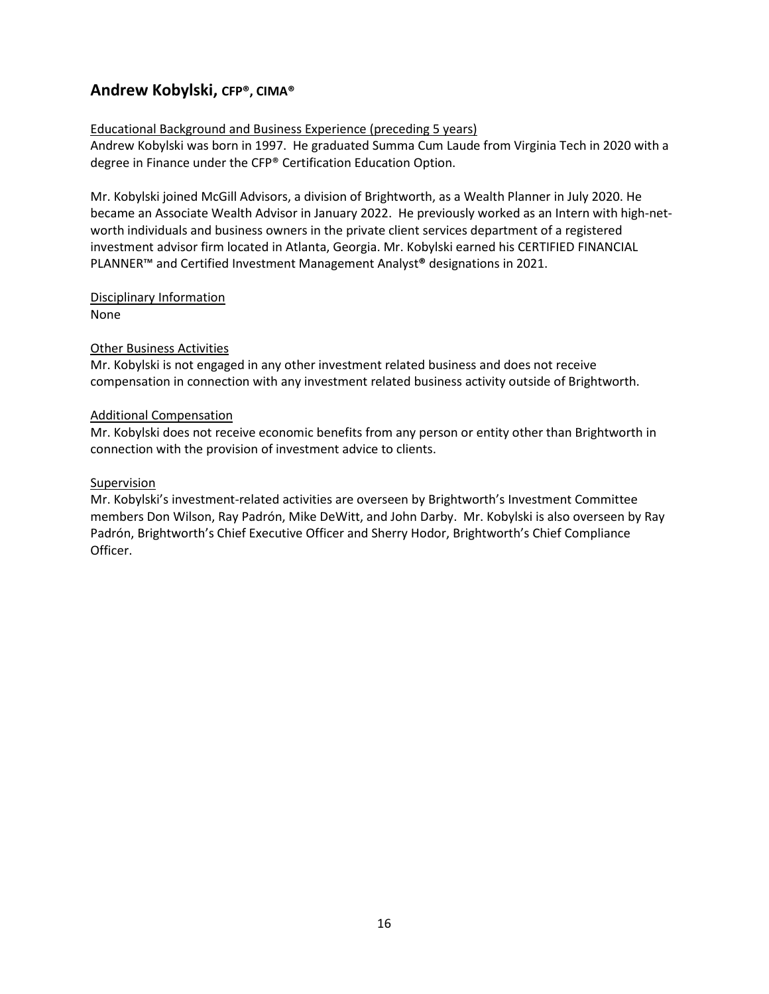### **Andrew Kobylski, CFP®, CIMA®**

#### Educational Background and Business Experience (preceding 5 years)

Andrew Kobylski was born in 1997. He graduated Summa Cum Laude from Virginia Tech in 2020 with a degree in Finance under the CFP® Certification Education Option.

Mr. Kobylski joined McGill Advisors, a division of Brightworth, as a Wealth Planner in July 2020. He became an Associate Wealth Advisor in January 2022. He previously worked as an Intern with high-networth individuals and business owners in the private client services department of a registered investment advisor firm located in Atlanta, Georgia. Mr. Kobylski earned his CERTIFIED FINANCIAL PLANNER™ and Certified Investment Management Analyst**®** designations in 2021.

#### Disciplinary Information None

#### Other Business Activities

Mr. Kobylski is not engaged in any other investment related business and does not receive compensation in connection with any investment related business activity outside of Brightworth.

#### Additional Compensation

Mr. Kobylski does not receive economic benefits from any person or entity other than Brightworth in connection with the provision of investment advice to clients.

#### Supervision

Mr. Kobylski's investment-related activities are overseen by Brightworth's Investment Committee members Don Wilson, Ray Padrón, Mike DeWitt, and John Darby. Mr. Kobylski is also overseen by Ray Padrón, Brightworth's Chief Executive Officer and Sherry Hodor, Brightworth's Chief Compliance Officer.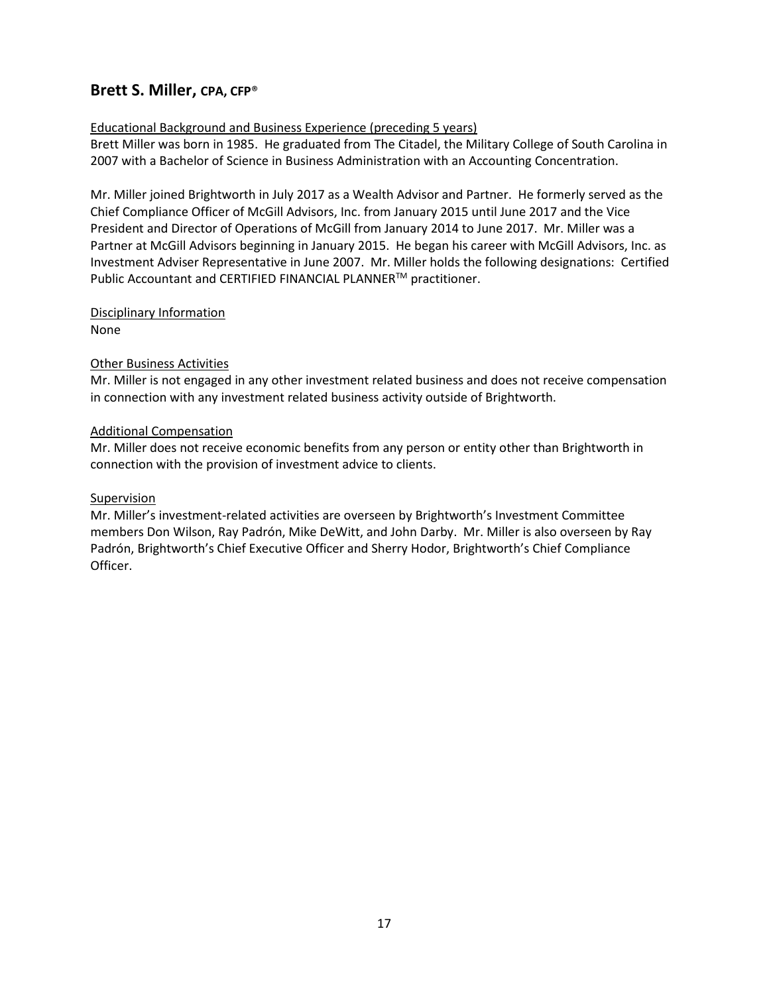### **Brett S. Miller, CPA, CFP**®

#### Educational Background and Business Experience (preceding 5 years)

Brett Miller was born in 1985. He graduated from The Citadel, the Military College of South Carolina in 2007 with a Bachelor of Science in Business Administration with an Accounting Concentration.

Mr. Miller joined Brightworth in July 2017 as a Wealth Advisor and Partner. He formerly served as the Chief Compliance Officer of McGill Advisors, Inc. from January 2015 until June 2017 and the Vice President and Director of Operations of McGill from January 2014 to June 2017. Mr. Miller was a Partner at McGill Advisors beginning in January 2015. He began his career with McGill Advisors, Inc. as Investment Adviser Representative in June 2007. Mr. Miller holds the following designations: Certified Public Accountant and CERTIFIED FINANCIAL PLANNER™ practitioner.

#### Disciplinary Information

None

#### Other Business Activities

Mr. Miller is not engaged in any other investment related business and does not receive compensation in connection with any investment related business activity outside of Brightworth.

#### Additional Compensation

Mr. Miller does not receive economic benefits from any person or entity other than Brightworth in connection with the provision of investment advice to clients.

#### Supervision

Mr. Miller's investment-related activities are overseen by Brightworth's Investment Committee members Don Wilson, Ray Padrón, Mike DeWitt, and John Darby. Mr. Miller is also overseen by Ray Padrón, Brightworth's Chief Executive Officer and Sherry Hodor, Brightworth's Chief Compliance Officer.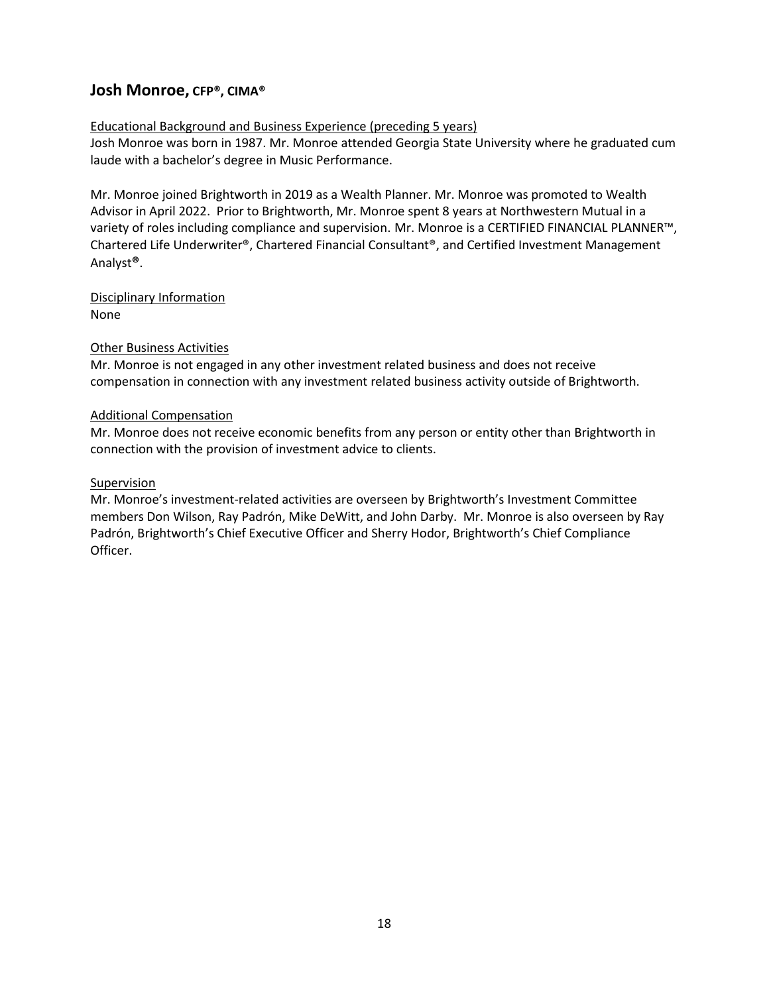### **Josh Monroe, CFP®, CIMA®**

#### Educational Background and Business Experience (preceding 5 years)

Josh Monroe was born in 1987. Mr. Monroe attended Georgia State University where he graduated cum laude with a bachelor's degree in Music Performance.

Mr. Monroe joined Brightworth in 2019 as a Wealth Planner. Mr. Monroe was promoted to Wealth Advisor in April 2022. Prior to Brightworth, Mr. Monroe spent 8 years at Northwestern Mutual in a variety of roles including compliance and supervision. Mr. Monroe is a CERTIFIED FINANCIAL PLANNER™, Chartered Life Underwriter®, Chartered Financial Consultant®, and Certified Investment Management Analyst**®**.

Disciplinary Information None

#### Other Business Activities

Mr. Monroe is not engaged in any other investment related business and does not receive compensation in connection with any investment related business activity outside of Brightworth.

#### Additional Compensation

Mr. Monroe does not receive economic benefits from any person or entity other than Brightworth in connection with the provision of investment advice to clients.

#### Supervision

Mr. Monroe's investment-related activities are overseen by Brightworth's Investment Committee members Don Wilson, Ray Padrón, Mike DeWitt, and John Darby. Mr. Monroe is also overseen by Ray Padrón, Brightworth's Chief Executive Officer and Sherry Hodor, Brightworth's Chief Compliance Officer.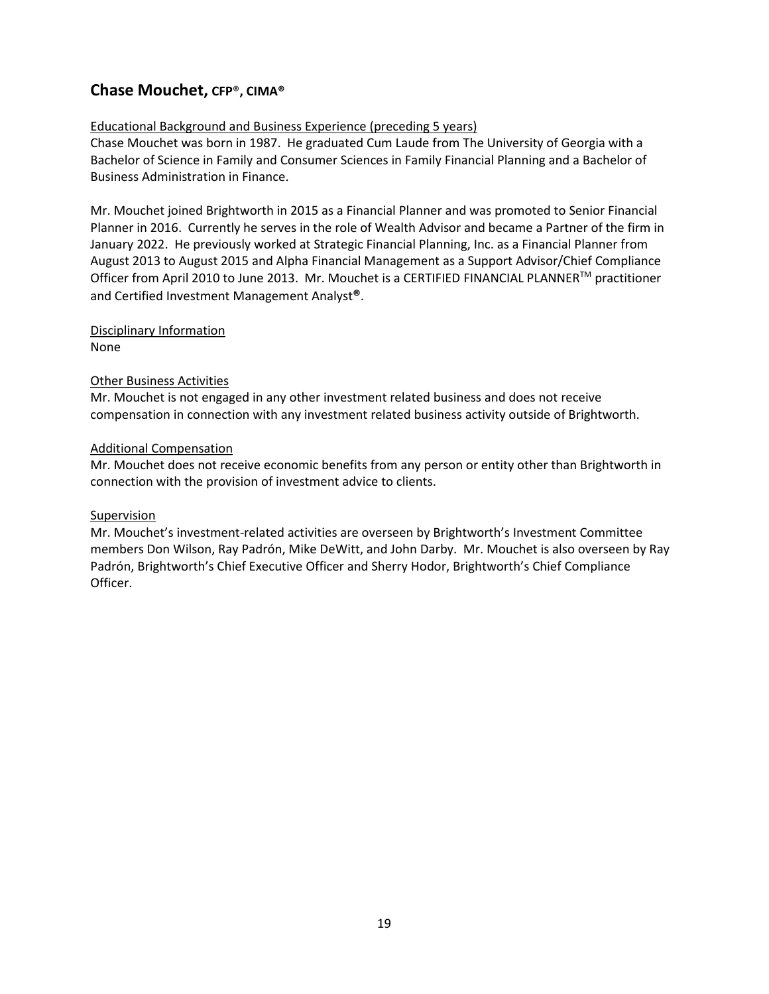### **Chase Mouchet, CFP**®**, CIMA®**

#### Educational Background and Business Experience (preceding 5 years)

Chase Mouchet was born in 1987. He graduated Cum Laude from The University of Georgia with a Bachelor of Science in Family and Consumer Sciences in Family Financial Planning and a Bachelor of Business Administration in Finance.

Mr. Mouchet joined Brightworth in 2015 as a Financial Planner and was promoted to Senior Financial Planner in 2016. Currently he serves in the role of Wealth Advisor and became a Partner of the firm in January 2022. He previously worked at Strategic Financial Planning, Inc. as a Financial Planner from August 2013 to August 2015 and Alpha Financial Management as a Support Advisor/Chief Compliance Officer from April 2010 to June 2013. Mr. Mouchet is a CERTIFIED FINANCIAL PLANNER™ practitioner and Certified Investment Management Analyst**®**.

Disciplinary Information

None

#### Other Business Activities

Mr. Mouchet is not engaged in any other investment related business and does not receive compensation in connection with any investment related business activity outside of Brightworth.

#### Additional Compensation

Mr. Mouchet does not receive economic benefits from any person or entity other than Brightworth in connection with the provision of investment advice to clients.

#### Supervision

Mr. Mouchet's investment-related activities are overseen by Brightworth's Investment Committee members Don Wilson, Ray Padrón, Mike DeWitt, and John Darby. Mr. Mouchet is also overseen by Ray Padrón, Brightworth's Chief Executive Officer and Sherry Hodor, Brightworth's Chief Compliance Officer.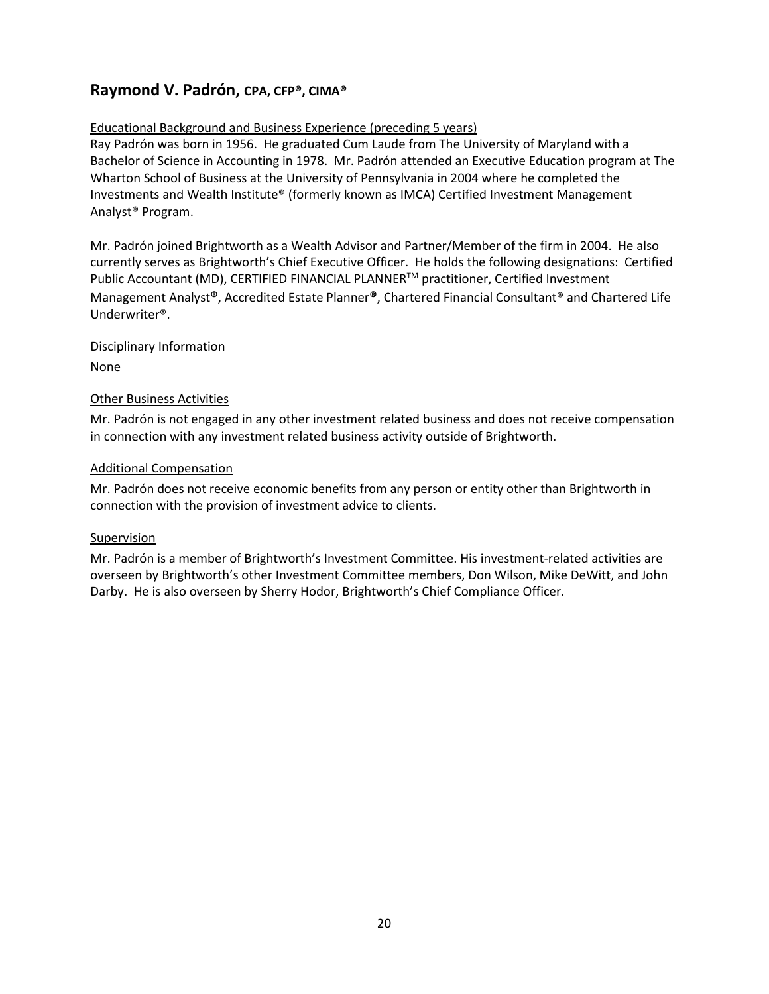### **Raymond V. Padrón, CPA, CFP®, CIMA®**

#### Educational Background and Business Experience (preceding 5 years)

Ray Padrón was born in 1956. He graduated Cum Laude from The University of Maryland with a Bachelor of Science in Accounting in 1978. Mr. Padrón attended an Executive Education program at The Wharton School of Business at the University of Pennsylvania in 2004 where he completed the Investments and Wealth Institute® (formerly known as IMCA) Certified Investment Management Analyst® Program.

Mr. Padrón joined Brightworth as a Wealth Advisor and Partner/Member of the firm in 2004. He also currently serves as Brightworth's Chief Executive Officer. He holds the following designations: Certified Public Accountant (MD), CERTIFIED FINANCIAL PLANNER™ practitioner, Certified Investment Management Analyst**®**, Accredited Estate Planner**®**, Chartered Financial Consultant® and Chartered Life Underwriter®.

#### Disciplinary Information

None

#### Other Business Activities

Mr. Padrón is not engaged in any other investment related business and does not receive compensation in connection with any investment related business activity outside of Brightworth.

#### Additional Compensation

Mr. Padrón does not receive economic benefits from any person or entity other than Brightworth in connection with the provision of investment advice to clients.

#### **Supervision**

Mr. Padrón is a member of Brightworth's Investment Committee. His investment-related activities are overseen by Brightworth's other Investment Committee members, Don Wilson, Mike DeWitt, and John Darby. He is also overseen by Sherry Hodor, Brightworth's Chief Compliance Officer.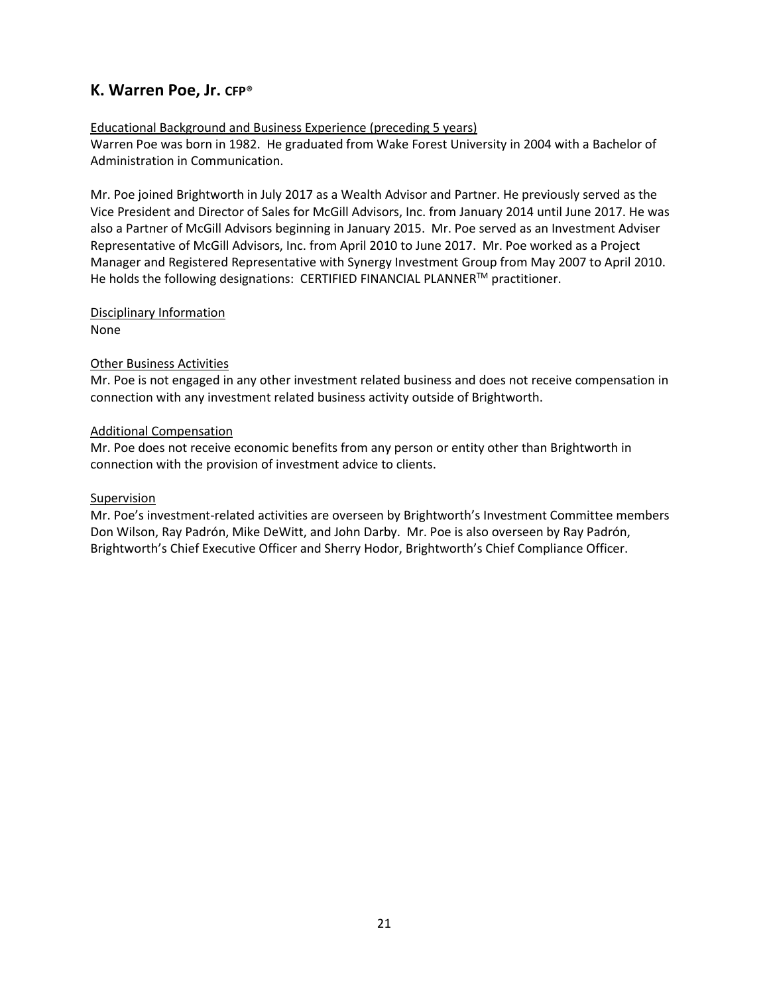### **K. Warren Poe, Jr. CFP**®

#### Educational Background and Business Experience (preceding 5 years)

Warren Poe was born in 1982. He graduated from Wake Forest University in 2004 with a Bachelor of Administration in Communication.

Mr. Poe joined Brightworth in July 2017 as a Wealth Advisor and Partner. He previously served as the Vice President and Director of Sales for McGill Advisors, Inc. from January 2014 until June 2017. He was also a Partner of McGill Advisors beginning in January 2015. Mr. Poe served as an Investment Adviser Representative of McGill Advisors, Inc. from April 2010 to June 2017. Mr. Poe worked as a Project Manager and Registered Representative with Synergy Investment Group from May 2007 to April 2010. He holds the following designations: CERTIFIED FINANCIAL PLANNER™ practitioner.

#### Disciplinary Information

None

#### Other Business Activities

Mr. Poe is not engaged in any other investment related business and does not receive compensation in connection with any investment related business activity outside of Brightworth.

#### Additional Compensation

Mr. Poe does not receive economic benefits from any person or entity other than Brightworth in connection with the provision of investment advice to clients.

#### Supervision

Mr. Poe's investment-related activities are overseen by Brightworth's Investment Committee members Don Wilson, Ray Padrón, Mike DeWitt, and John Darby. Mr. Poe is also overseen by Ray Padrón, Brightworth's Chief Executive Officer and Sherry Hodor, Brightworth's Chief Compliance Officer.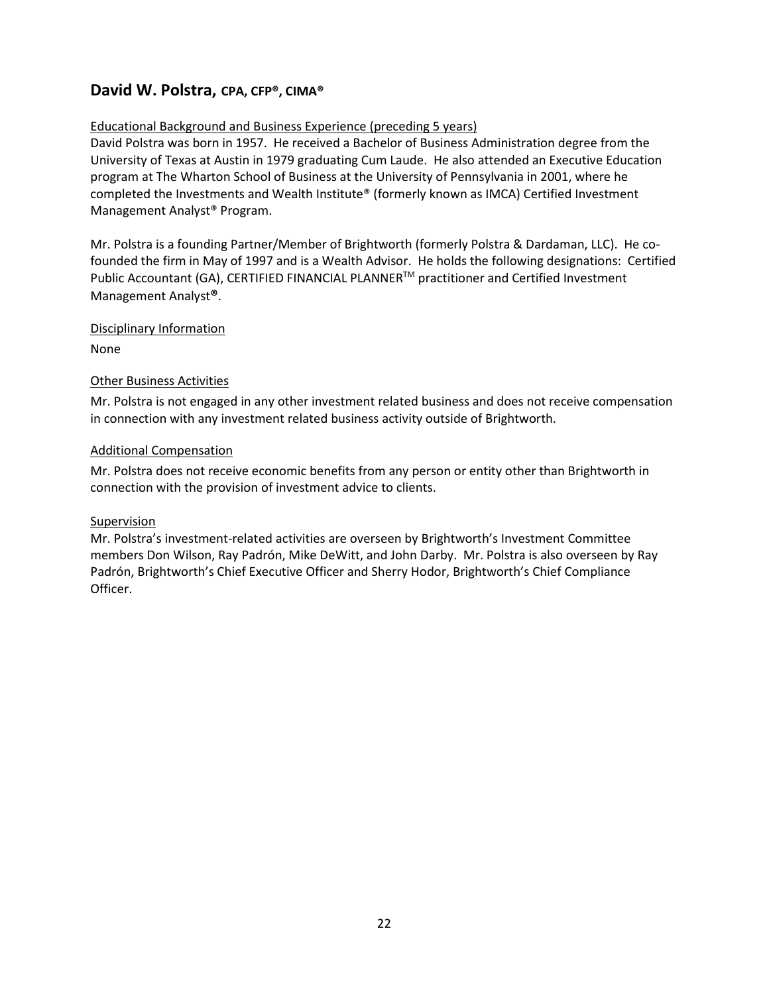### **David W. Polstra, CPA, CFP®, CIMA®**

#### Educational Background and Business Experience (preceding 5 years)

David Polstra was born in 1957. He received a Bachelor of Business Administration degree from the University of Texas at Austin in 1979 graduating Cum Laude. He also attended an Executive Education program at The Wharton School of Business at the University of Pennsylvania in 2001, where he completed the Investments and Wealth Institute® (formerly known as IMCA) Certified Investment Management Analyst® Program.

Mr. Polstra is a founding Partner/Member of Brightworth (formerly Polstra & Dardaman, LLC). He cofounded the firm in May of 1997 and is a Wealth Advisor. He holds the following designations: Certified Public Accountant (GA), CERTIFIED FINANCIAL PLANNER™ practitioner and Certified Investment Management Analyst**®**.

#### Disciplinary Information

None

#### Other Business Activities

Mr. Polstra is not engaged in any other investment related business and does not receive compensation in connection with any investment related business activity outside of Brightworth.

#### Additional Compensation

Mr. Polstra does not receive economic benefits from any person or entity other than Brightworth in connection with the provision of investment advice to clients.

#### Supervision

Mr. Polstra's investment-related activities are overseen by Brightworth's Investment Committee members Don Wilson, Ray Padrón, Mike DeWitt, and John Darby. Mr. Polstra is also overseen by Ray Padrón, Brightworth's Chief Executive Officer and Sherry Hodor, Brightworth's Chief Compliance Officer.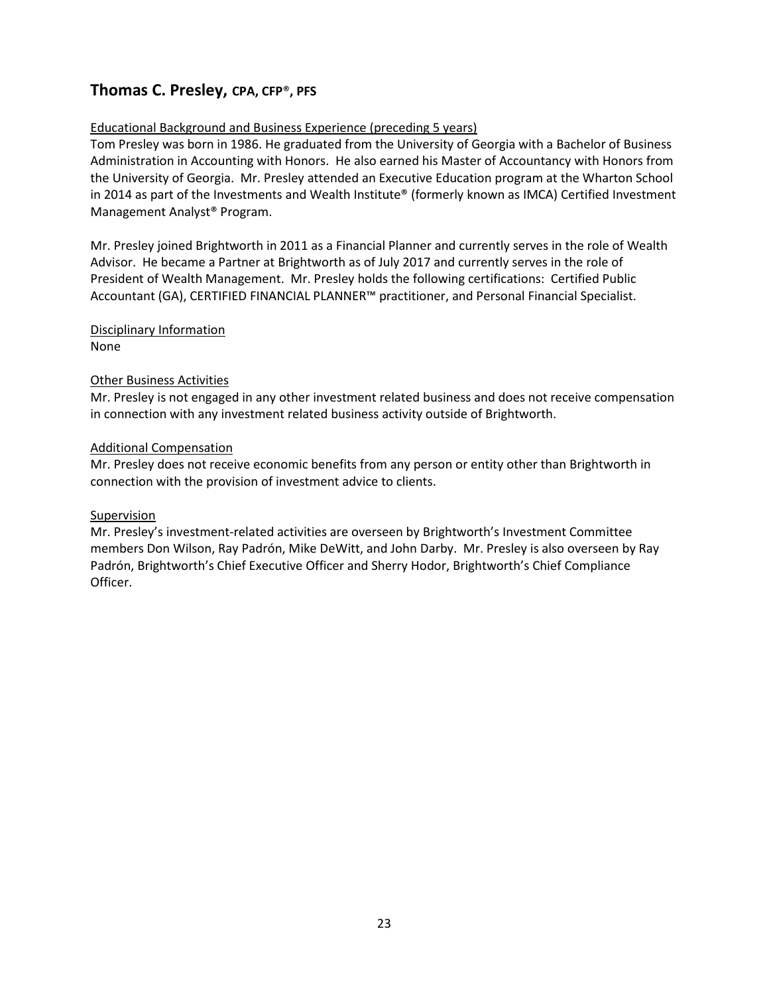### **Thomas C. Presley, CPA, CFP**®**, PFS**

#### Educational Background and Business Experience (preceding 5 years)

Tom Presley was born in 1986. He graduated from the University of Georgia with a Bachelor of Business Administration in Accounting with Honors. He also earned his Master of Accountancy with Honors from the University of Georgia. Mr. Presley attended an Executive Education program at the Wharton School in 2014 as part of the Investments and Wealth Institute® (formerly known as IMCA) Certified Investment Management Analyst® Program.

Mr. Presley joined Brightworth in 2011 as a Financial Planner and currently serves in the role of Wealth Advisor. He became a Partner at Brightworth as of July 2017 and currently serves in the role of President of Wealth Management. Mr. Presley holds the following certifications: Certified Public Accountant (GA), CERTIFIED FINANCIAL PLANNER™ practitioner, and Personal Financial Specialist.

#### Disciplinary Information

None

#### Other Business Activities

Mr. Presley is not engaged in any other investment related business and does not receive compensation in connection with any investment related business activity outside of Brightworth.

#### Additional Compensation

Mr. Presley does not receive economic benefits from any person or entity other than Brightworth in connection with the provision of investment advice to clients.

#### Supervision

Mr. Presley's investment-related activities are overseen by Brightworth's Investment Committee members Don Wilson, Ray Padrón, Mike DeWitt, and John Darby. Mr. Presley is also overseen by Ray Padrón, Brightworth's Chief Executive Officer and Sherry Hodor, Brightworth's Chief Compliance Officer.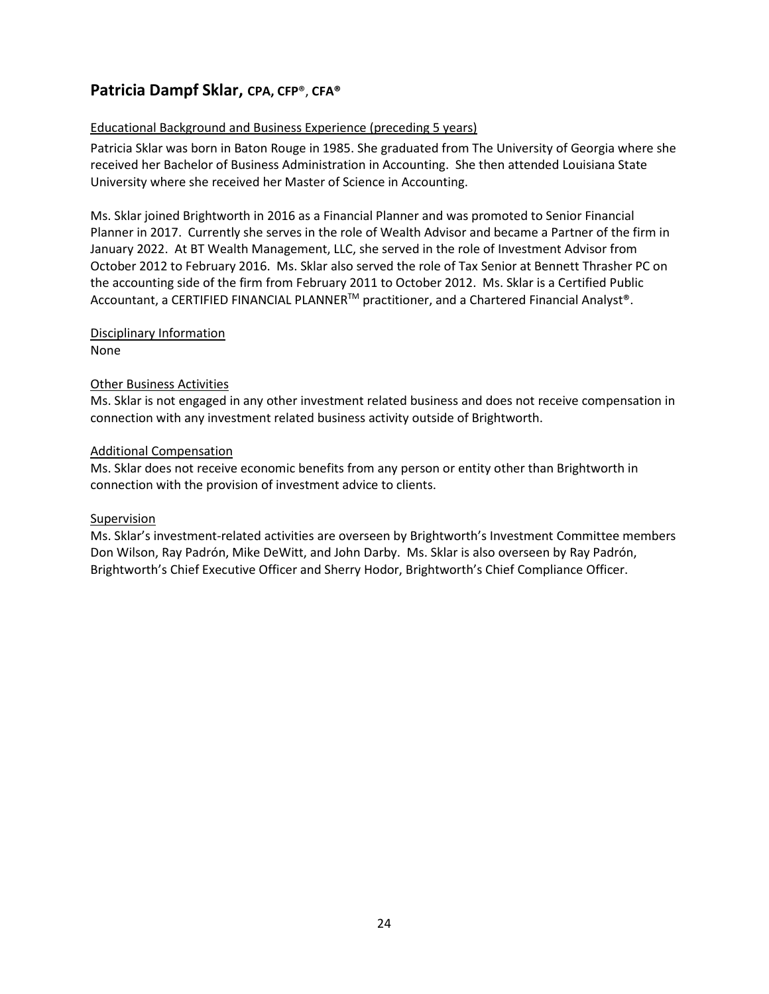### **Patricia Dampf Sklar, CPA, CFP**®, **CFA®**

#### Educational Background and Business Experience (preceding 5 years)

Patricia Sklar was born in Baton Rouge in 1985. She graduated from The University of Georgia where she received her Bachelor of Business Administration in Accounting. She then attended Louisiana State University where she received her Master of Science in Accounting.

Ms. Sklar joined Brightworth in 2016 as a Financial Planner and was promoted to Senior Financial Planner in 2017. Currently she serves in the role of Wealth Advisor and became a Partner of the firm in January 2022. At BT Wealth Management, LLC, she served in the role of Investment Advisor from October 2012 to February 2016. Ms. Sklar also served the role of Tax Senior at Bennett Thrasher PC on the accounting side of the firm from February 2011 to October 2012. Ms. Sklar is a Certified Public Accountant, a CERTIFIED FINANCIAL PLANNER<sup>™</sup> practitioner, and a Chartered Financial Analyst®.

Disciplinary Information

None

#### Other Business Activities

Ms. Sklar is not engaged in any other investment related business and does not receive compensation in connection with any investment related business activity outside of Brightworth.

#### Additional Compensation

Ms. Sklar does not receive economic benefits from any person or entity other than Brightworth in connection with the provision of investment advice to clients.

#### Supervision

Ms. Sklar's investment-related activities are overseen by Brightworth's Investment Committee members Don Wilson, Ray Padrón, Mike DeWitt, and John Darby. Ms. Sklar is also overseen by Ray Padrón, Brightworth's Chief Executive Officer and Sherry Hodor, Brightworth's Chief Compliance Officer.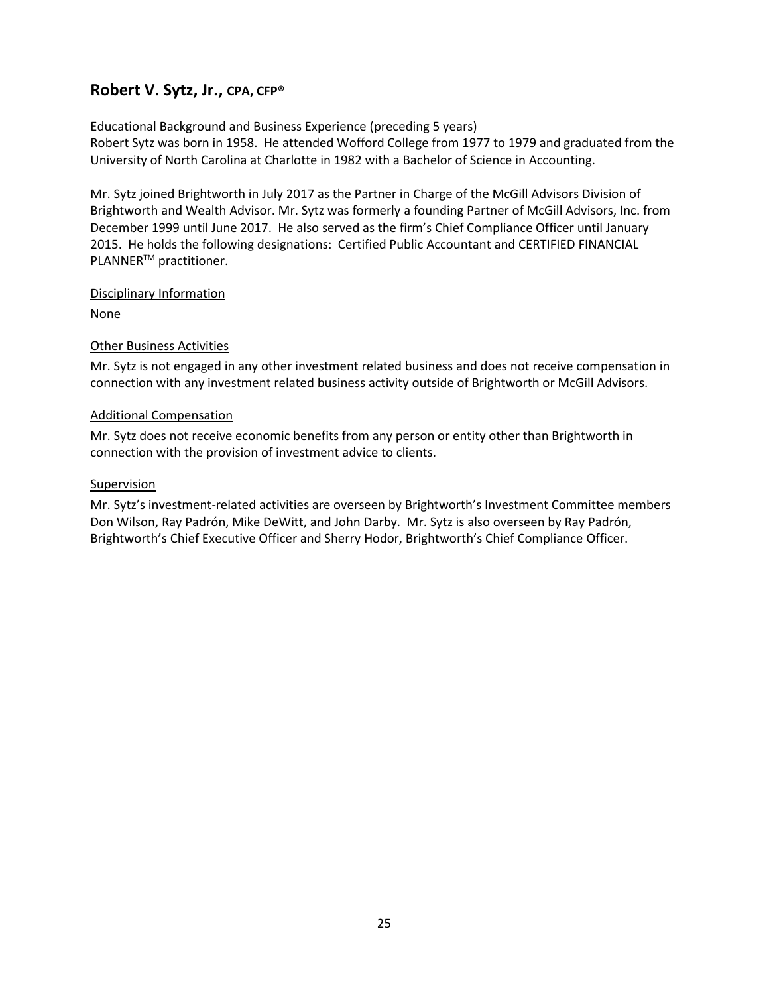### **Robert V. Sytz, Jr., CPA, CFP®**

#### Educational Background and Business Experience (preceding 5 years)

Robert Sytz was born in 1958. He attended Wofford College from 1977 to 1979 and graduated from the University of North Carolina at Charlotte in 1982 with a Bachelor of Science in Accounting.

Mr. Sytz joined Brightworth in July 2017 as the Partner in Charge of the McGill Advisors Division of Brightworth and Wealth Advisor. Mr. Sytz was formerly a founding Partner of McGill Advisors, Inc. from December 1999 until June 2017. He also served as the firm's Chief Compliance Officer until January 2015. He holds the following designations: Certified Public Accountant and CERTIFIED FINANCIAL PLANNER<sup>™</sup> practitioner.

#### Disciplinary Information

None

#### Other Business Activities

Mr. Sytz is not engaged in any other investment related business and does not receive compensation in connection with any investment related business activity outside of Brightworth or McGill Advisors.

#### Additional Compensation

Mr. Sytz does not receive economic benefits from any person or entity other than Brightworth in connection with the provision of investment advice to clients.

#### Supervision

Mr. Sytz's investment-related activities are overseen by Brightworth's Investment Committee members Don Wilson, Ray Padrón, Mike DeWitt, and John Darby. Mr. Sytz is also overseen by Ray Padrón, Brightworth's Chief Executive Officer and Sherry Hodor, Brightworth's Chief Compliance Officer.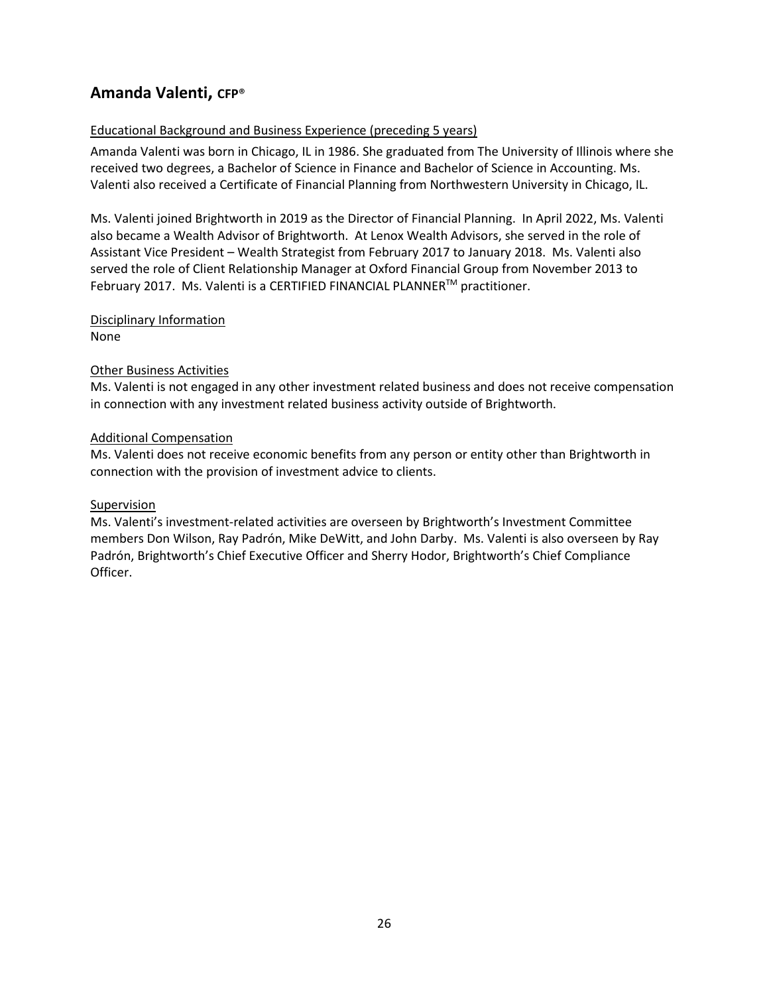### **Amanda Valenti, CFP**®

#### Educational Background and Business Experience (preceding 5 years)

Amanda Valenti was born in Chicago, IL in 1986. She graduated from The University of Illinois where she received two degrees, a Bachelor of Science in Finance and Bachelor of Science in Accounting. Ms. Valenti also received a Certificate of Financial Planning from Northwestern University in Chicago, IL.

Ms. Valenti joined Brightworth in 2019 as the Director of Financial Planning. In April 2022, Ms. Valenti also became a Wealth Advisor of Brightworth. At Lenox Wealth Advisors, she served in the role of Assistant Vice President – Wealth Strategist from February 2017 to January 2018. Ms. Valenti also served the role of Client Relationship Manager at Oxford Financial Group from November 2013 to February 2017. Ms. Valenti is a CERTIFIED FINANCIAL PLANNER™ practitioner.

#### Disciplinary Information None

#### Other Business Activities

Ms. Valenti is not engaged in any other investment related business and does not receive compensation in connection with any investment related business activity outside of Brightworth.

#### Additional Compensation

Ms. Valenti does not receive economic benefits from any person or entity other than Brightworth in connection with the provision of investment advice to clients.

#### Supervision

Ms. Valenti's investment-related activities are overseen by Brightworth's Investment Committee members Don Wilson, Ray Padrón, Mike DeWitt, and John Darby. Ms. Valenti is also overseen by Ray Padrón, Brightworth's Chief Executive Officer and Sherry Hodor, Brightworth's Chief Compliance Officer.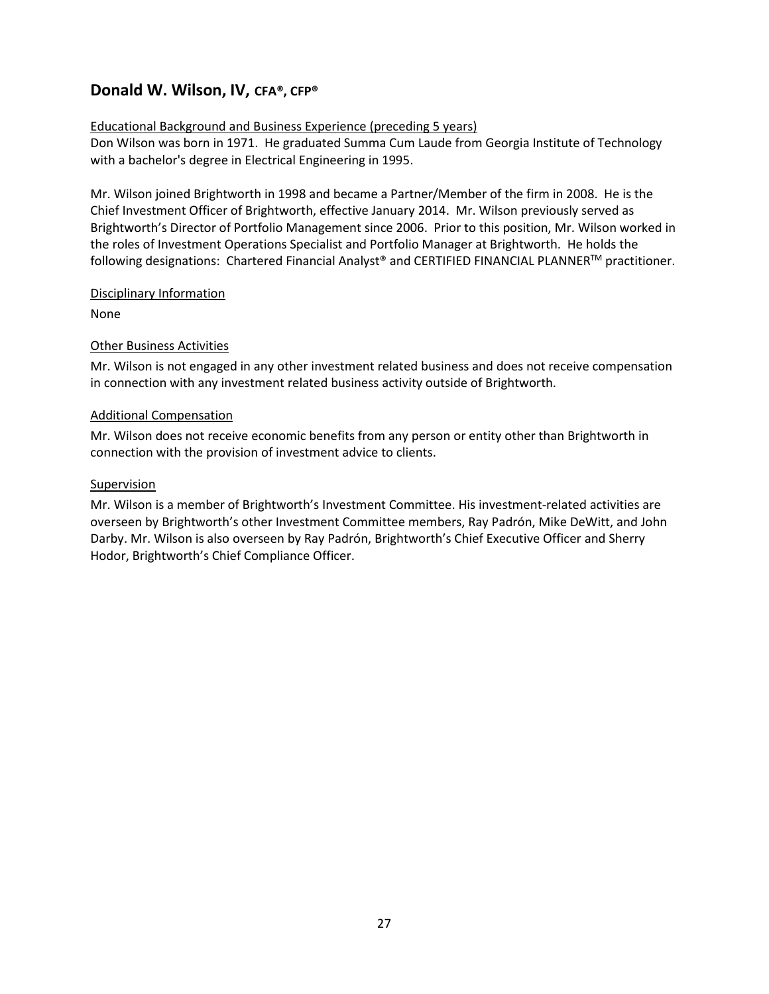### **Donald W. Wilson, IV, CFA®, CFP®**

#### Educational Background and Business Experience (preceding 5 years)

Don Wilson was born in 1971. He graduated Summa Cum Laude from Georgia Institute of Technology with a bachelor's degree in Electrical Engineering in 1995.

Mr. Wilson joined Brightworth in 1998 and became a Partner/Member of the firm in 2008. He is the Chief Investment Officer of Brightworth, effective January 2014. Mr. Wilson previously served as Brightworth's Director of Portfolio Management since 2006. Prior to this position, Mr. Wilson worked in the roles of Investment Operations Specialist and Portfolio Manager at Brightworth. He holds the following designations: Chartered Financial Analyst® and CERTIFIED FINANCIAL PLANNERTM practitioner.

#### Disciplinary Information

None

#### Other Business Activities

Mr. Wilson is not engaged in any other investment related business and does not receive compensation in connection with any investment related business activity outside of Brightworth.

#### Additional Compensation

Mr. Wilson does not receive economic benefits from any person or entity other than Brightworth in connection with the provision of investment advice to clients.

#### Supervision

Mr. Wilson is a member of Brightworth's Investment Committee. His investment-related activities are overseen by Brightworth's other Investment Committee members, Ray Padrón, Mike DeWitt, and John Darby. Mr. Wilson is also overseen by Ray Padrón, Brightworth's Chief Executive Officer and Sherry Hodor, Brightworth's Chief Compliance Officer.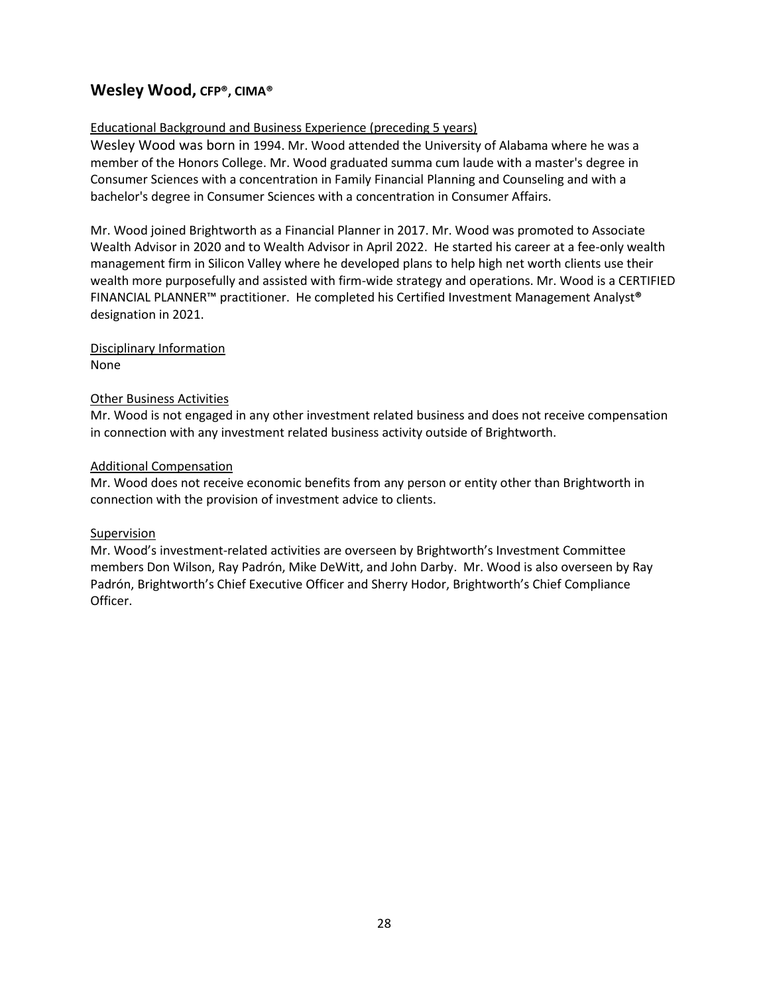### **Wesley Wood, CFP®, CIMA®**

#### Educational Background and Business Experience (preceding 5 years)

Wesley Wood was born in 1994. Mr. Wood attended the University of Alabama where he was a member of the Honors College. Mr. Wood graduated summa cum laude with a master's degree in Consumer Sciences with a concentration in Family Financial Planning and Counseling and with a bachelor's degree in Consumer Sciences with a concentration in Consumer Affairs.

Mr. Wood joined Brightworth as a Financial Planner in 2017. Mr. Wood was promoted to Associate Wealth Advisor in 2020 and to Wealth Advisor in April 2022. He started his career at a fee-only wealth management firm in Silicon Valley where he developed plans to help high net worth clients use their wealth more purposefully and assisted with firm-wide strategy and operations. Mr. Wood is a CERTIFIED FINANCIAL PLANNER™ practitioner. He completed his Certified Investment Management Analyst**®** designation in 2021.

Disciplinary Information None

#### Other Business Activities

Mr. Wood is not engaged in any other investment related business and does not receive compensation in connection with any investment related business activity outside of Brightworth.

#### Additional Compensation

Mr. Wood does not receive economic benefits from any person or entity other than Brightworth in connection with the provision of investment advice to clients.

#### Supervision

Mr. Wood's investment-related activities are overseen by Brightworth's Investment Committee members Don Wilson, Ray Padrón, Mike DeWitt, and John Darby. Mr. Wood is also overseen by Ray Padrón, Brightworth's Chief Executive Officer and Sherry Hodor, Brightworth's Chief Compliance Officer.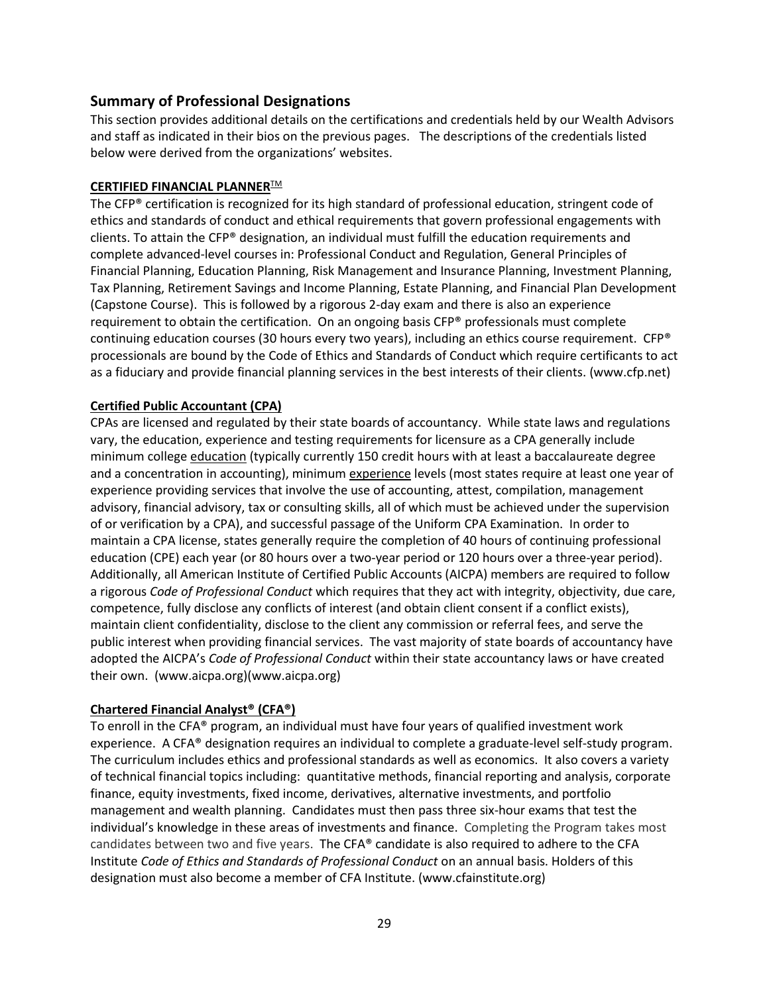### **Summary of Professional Designations**

This section provides additional details on the certifications and credentials held by our Wealth Advisors and staff as indicated in their bios on the previous pages. The descriptions of the credentials listed below were derived from the organizations' websites.

#### **CERTIFIED FINANCIAL PLANNER™**

The CFP® certification is recognized for its high standard of professional education, stringent code of ethics and standards of conduct and ethical requirements that govern professional engagements with clients. To attain the CFP® designation, an individual must fulfill the education requirements and complete advanced-level courses in: Professional Conduct and Regulation, General Principles of Financial Planning, Education Planning, Risk Management and Insurance Planning, Investment Planning, Tax Planning, Retirement Savings and Income Planning, Estate Planning, and Financial Plan Development (Capstone Course). This is followed by a rigorous 2-day exam and there is also an experience requirement to obtain the certification. On an ongoing basis CFP® professionals must complete continuing education courses (30 hours every two years), including an ethics course requirement. CFP® processionals are bound by the Code of Ethics and Standards of Conduct which require certificants to act as a fiduciary and provide financial planning services in the best interests of their clients. (www.cfp.net)

#### **Certified Public Accountant (CPA)**

CPAs are licensed and regulated by their state boards of accountancy. While state laws and regulations vary, the education, experience and testing requirements for licensure as a CPA generally include minimum college education (typically currently 150 credit hours with at least a baccalaureate degree and a concentration in accounting), minimum experience levels (most states require at least one year of experience providing services that involve the use of accounting, attest, compilation, management advisory, financial advisory, tax or consulting skills, all of which must be achieved under the supervision of or verification by a CPA), and successful passage of the Uniform CPA Examination. In order to maintain a CPA license, states generally require the completion of 40 hours of continuing professional education (CPE) each year (or 80 hours over a two-year period or 120 hours over a three-year period). Additionally, all American Institute of Certified Public Accounts (AICPA) members are required to follow a rigorous *Code of Professional Conduct* which requires that they act with integrity, objectivity, due care, competence, fully disclose any conflicts of interest (and obtain client consent if a conflict exists), maintain client confidentiality, disclose to the client any commission or referral fees, and serve the public interest when providing financial services. The vast majority of state boards of accountancy have adopted the AICPA's *Code of Professional Conduct* within their state accountancy laws or have created their own. [\(www.aicpa.org\)](http://www.aicpa.org/)(www.aicpa.org)

#### **Chartered Financial Analyst® (CFA®)**

To enroll in the CFA® program, an individual must have four years of qualified investment work experience. A CFA® designation requires an individual to complete a graduate-level self-study program. The curriculum includes ethics and professional standards as well as economics. It also covers a variety of technical financial topics including: quantitative methods, financial reporting and analysis, corporate finance, equity investments, fixed income, derivatives, alternative investments, and portfolio management and wealth planning. Candidates must then pass three six-hour exams that test the individual's knowledge in these areas of investments and finance. Completing the Program takes most candidates between two and five years. The CFA® candidate is also required to adhere to the CFA Institute *Code of Ethics and Standards of Professional Conduct* on an annual basis. Holders of this designation must also become a member of CFA Institute. (www.cfainstitute.org)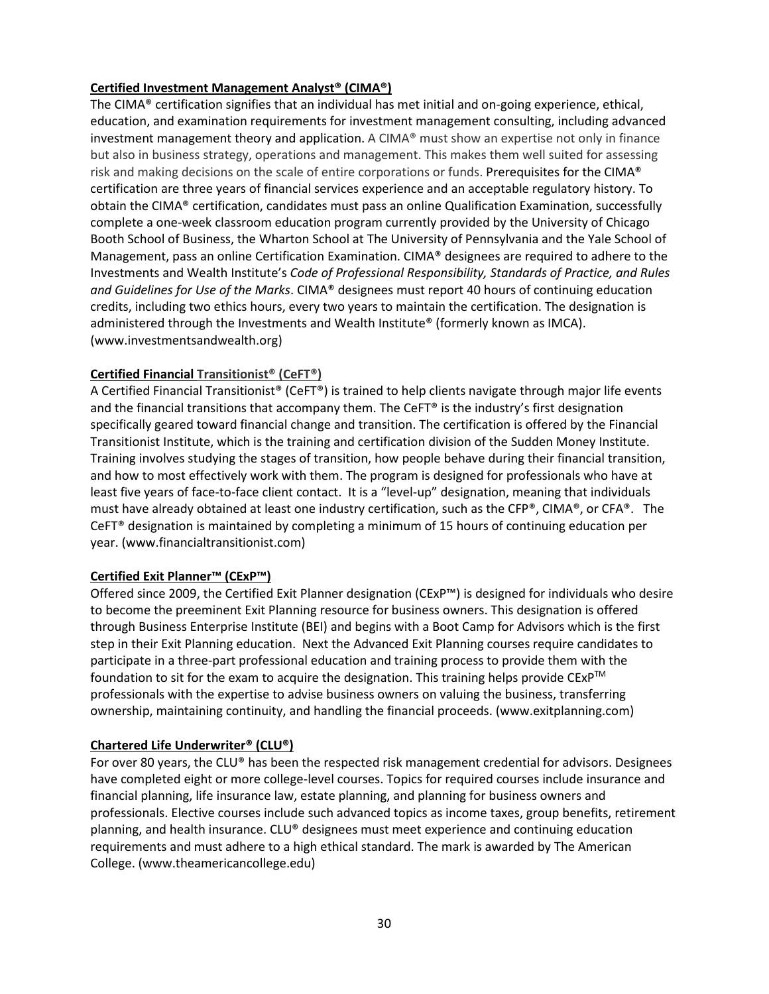#### **Certified Investment Management Analyst® (CIMA®)**

The CIMA® certification signifies that an individual has met initial and on-going experience, ethical, education, and examination requirements for investment management consulting, including advanced investment management theory and application. A CIMA® must show an expertise not only in finance but also in business strategy, operations and management. This makes them well suited for assessing risk and making decisions on the scale of entire corporations or funds. Prerequisites for the CIMA® certification are three years of financial services experience and an acceptable regulatory history. To obtain the CIMA® certification, candidates must pass an online Qualification Examination, successfully complete a one-week classroom education program currently provided by the University of Chicago Booth School of Business, the Wharton School at The University of Pennsylvania and the Yale School of Management, pass an online Certification Examination. CIMA® designees are required to adhere to the Investments and Wealth Institute's *Code of Professional Responsibility, Standards of Practice, and Rules and Guidelines for Use of the Marks*. CIMA® designees must report 40 hours of continuing education credits, including two ethics hours, every two years to maintain the certification. The designation is administered through the Investments and Wealth Institute® (formerly known as IMCA). (www.investmentsandwealth.org)

#### **Certified Financial Transitionist® (CeFT®)**

A Certified Financial Transitionist® (CeFT®) is trained to help clients navigate through major life events and the financial transitions that accompany them. The CeFT® is the industry's first designation specifically geared toward financial change and transition. The certification is offered by the Financial Transitionist Institute, which is the training and certification division of the Sudden Money Institute. Training involves studying the stages of transition, how people behave during their financial transition, and how to most effectively work with them. The program is designed for professionals who have at least five years of face-to-face client contact. It is a "level-up" designation, meaning that individuals must have already obtained at least one industry certification, such as the CFP®, CIMA®, or CFA®. The CeFT<sup>®</sup> designation is maintained by completing a minimum of 15 hours of continuing education per year. (www.financialtransitionist.com)

#### **Certified Exit Planner™ (CExP™)**

Offered since 2009, the Certified Exit Planner designation (CExP™) is designed for individuals who desire to become the preeminent Exit Planning resource for business owners. This designation is offered through Business Enterprise Institute (BEI) and begins with a Boot Camp for Advisors which is the first step in their Exit Planning education. Next the Advanced Exit Planning courses require candidates to participate in a three-part professional education and training process to provide them with the foundation to sit for the exam to acquire the designation. This training helps provide  $CExP^{TM}$ professionals with the expertise to advise business owners on valuing the business, transferring ownership, maintaining continuity, and handling the financial proceeds. (www.exitplanning.com)

#### **Chartered Life Underwriter® (CLU®)**

For over 80 years, the CLU® has been the respected risk management credential for advisors. Designees have completed eight or more college-level courses. Topics for required courses include insurance and financial planning, life insurance law, estate planning, and planning for business owners and professionals. Elective courses include such advanced topics as income taxes, group benefits, retirement planning, and health insurance. CLU® designees must meet experience and continuing education requirements and must adhere to a high ethical standard. The mark is awarded by The American College. (www.theamericancollege.edu)